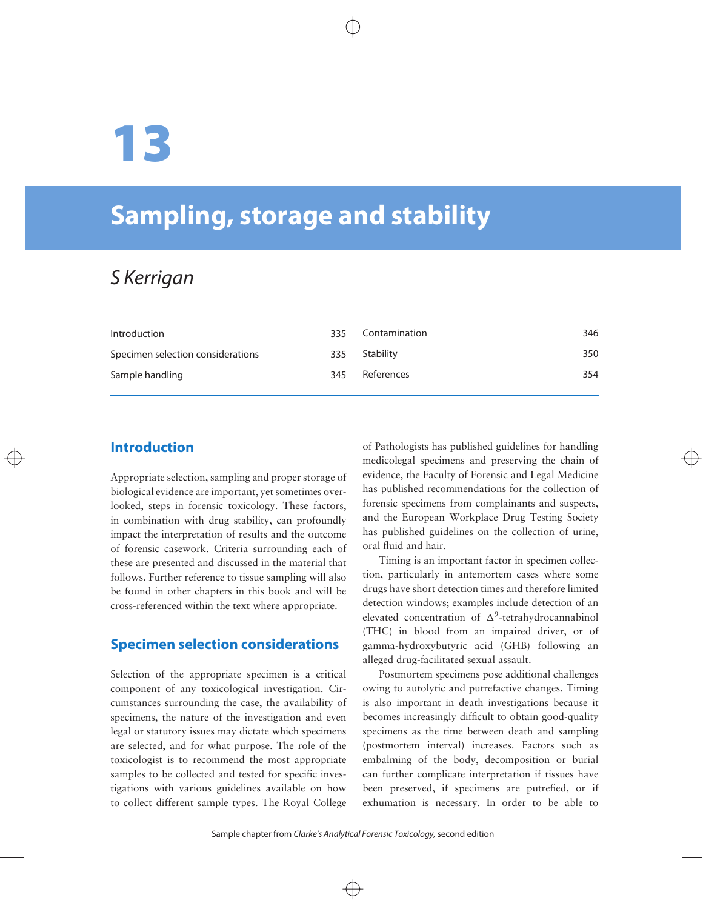# **13**

# **Sampling, storage and stability**

# S Kerrigan

| Introduction                      | 335 | Contamination | 346 |
|-----------------------------------|-----|---------------|-----|
| Specimen selection considerations | 335 | Stability     | 350 |
| Sample handling                   | 345 | References    | 354 |

# **Introduction**

 $\oplus$ 

Appropriate selection, sampling and proper storage of biological evidence are important, yet sometimes overlooked, steps in forensic toxicology. These factors, in combination with drug stability, can profoundly impact the interpretation of results and the outcome of forensic casework. Criteria surrounding each of these are presented and discussed in the material that follows. Further reference to tissue sampling will also be found in other chapters in this book and will be cross-referenced within the text where appropriate.

# **Specimen selection considerations**

Selection of the appropriate specimen is a critical component of any toxicological investigation. Circumstances surrounding the case, the availability of specimens, the nature of the investigation and even legal or statutory issues may dictate which specimens are selected, and for what purpose. The role of the toxicologist is to recommend the most appropriate samples to be collected and tested for specific investigations with various guidelines available on how to collect different sample types. The Royal College of Pathologists has published guidelines for handling medicolegal specimens and preserving the chain of evidence, the Faculty of Forensic and Legal Medicine has published recommendations for the collection of forensic specimens from complainants and suspects, and the European Workplace Drug Testing Society has published guidelines on the collection of urine, oral fluid and hair.

Timing is an important factor in specimen collection, particularly in antemortem cases where some drugs have short detection times and therefore limited detection windows; examples include detection of an elevated concentration of  $\Delta^9$ -tetrahydrocannabinol (THC) in blood from an impaired driver, or of gamma-hydroxybutyric acid (GHB) following an alleged drug-facilitated sexual assault.

Postmortem specimens pose additional challenges owing to autolytic and putrefactive changes. Timing is also important in death investigations because it becomes increasingly difficult to obtain good-quality specimens as the time between death and sampling (postmortem interval) increases. Factors such as embalming of the body, decomposition or burial can further complicate interpretation if tissues have been preserved, if specimens are putrefied, or if exhumation is necessary. In order to be able to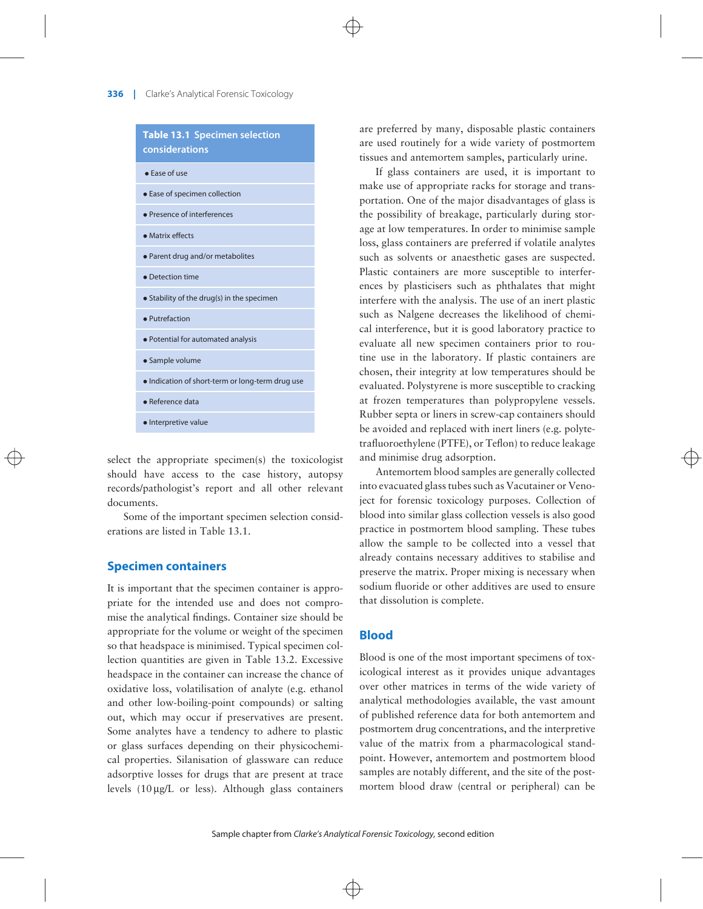

select the appropriate specimen(s) the toxicologist should have access to the case history, autopsy records/pathologist's report and all other relevant documents.

Some of the important specimen selection considerations are listed in Table 13.1.

# **Specimen containers**

It is important that the specimen container is appropriate for the intended use and does not compromise the analytical findings. Container size should be appropriate for the volume or weight of the specimen so that headspace is minimised. Typical specimen collection quantities are given in Table 13.2. Excessive headspace in the container can increase the chance of oxidative loss, volatilisation of analyte (e.g. ethanol and other low-boiling-point compounds) or salting out, which may occur if preservatives are present. Some analytes have a tendency to adhere to plastic or glass surfaces depending on their physicochemical properties. Silanisation of glassware can reduce adsorptive losses for drugs that are present at trace levels (10 μg/L or less). Although glass containers

are preferred by many, disposable plastic containers are used routinely for a wide variety of postmortem tissues and antemortem samples, particularly urine.

If glass containers are used, it is important to make use of appropriate racks for storage and transportation. One of the major disadvantages of glass is the possibility of breakage, particularly during storage at low temperatures. In order to minimise sample loss, glass containers are preferred if volatile analytes such as solvents or anaesthetic gases are suspected. Plastic containers are more susceptible to interferences by plasticisers such as phthalates that might interfere with the analysis. The use of an inert plastic such as Nalgene decreases the likelihood of chemical interference, but it is good laboratory practice to evaluate all new specimen containers prior to routine use in the laboratory. If plastic containers are chosen, their integrity at low temperatures should be evaluated. Polystyrene is more susceptible to cracking at frozen temperatures than polypropylene vessels. Rubber septa or liners in screw-cap containers should be avoided and replaced with inert liners (e.g. polytetrafluoroethylene (PTFE), or Teflon) to reduce leakage and minimise drug adsorption.

Antemortem blood samples are generally collected into evacuated glass tubes such as Vacutainer or Venoject for forensic toxicology purposes. Collection of blood into similar glass collection vessels is also good practice in postmortem blood sampling. These tubes allow the sample to be collected into a vessel that already contains necessary additives to stabilise and preserve the matrix. Proper mixing is necessary when sodium fluoride or other additives are used to ensure that dissolution is complete.

# **Blood**

Blood is one of the most important specimens of toxicological interest as it provides unique advantages over other matrices in terms of the wide variety of analytical methodologies available, the vast amount of published reference data for both antemortem and postmortem drug concentrations, and the interpretive value of the matrix from a pharmacological standpoint. However, antemortem and postmortem blood samples are notably different, and the site of the postmortem blood draw (central or peripheral) can be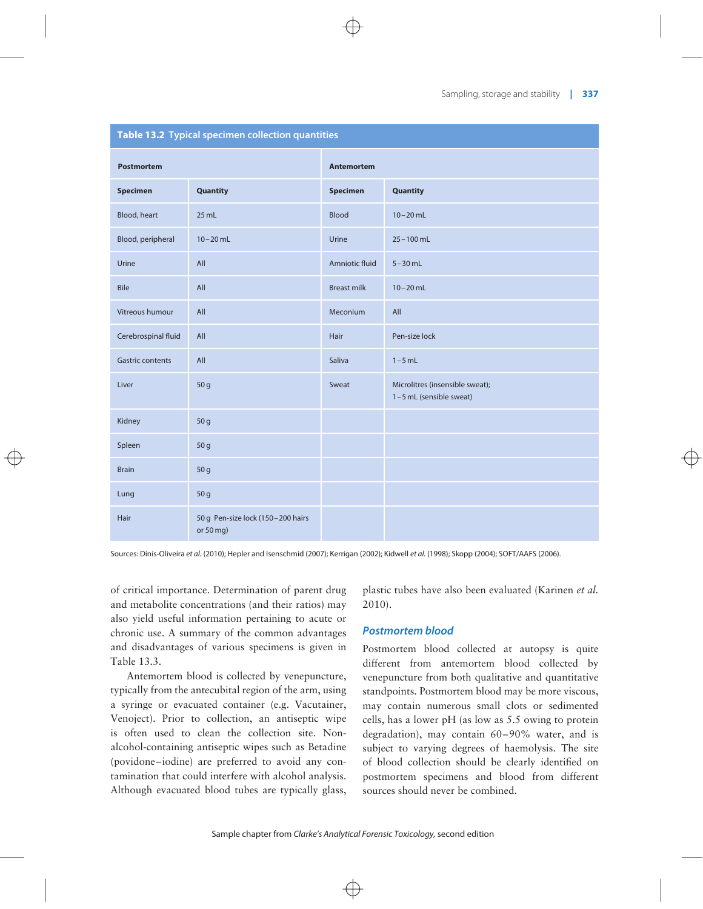| Table 13.2 Typical specimen collection quantities |                                                |                    |                                                            |
|---------------------------------------------------|------------------------------------------------|--------------------|------------------------------------------------------------|
| <b>Postmortem</b>                                 |                                                | <b>Antemortem</b>  |                                                            |
| <b>Specimen</b>                                   | Quantity                                       | <b>Specimen</b>    | Quantity                                                   |
| Blood, heart                                      | $25$ mL                                        | <b>Blood</b>       | $10 - 20$ mL                                               |
| Blood, peripheral                                 | $10 - 20$ mL                                   | Urine              | $25 - 100$ mL                                              |
| Urine                                             | All                                            | Amniotic fluid     | $5 - 30$ mL                                                |
| Bile                                              | All                                            | <b>Breast milk</b> | $10 - 20$ mL                                               |
| Vitreous humour                                   | All                                            | Meconium           | All                                                        |
| Cerebrospinal fluid                               | All                                            | Hair               | Pen-size lock                                              |
| <b>Gastric contents</b>                           | All                                            | Saliva             | $1-5$ mL                                                   |
| Liver                                             | 50 <sub>g</sub>                                | Sweat              | Microlitres (insensible sweat);<br>1-5 mL (sensible sweat) |
| Kidney                                            | 50 <sub>g</sub>                                |                    |                                                            |
| Spleen                                            | 50 <sub>g</sub>                                |                    |                                                            |
| <b>Brain</b>                                      | 50 <sub>g</sub>                                |                    |                                                            |
| Lung                                              | 50 <sub>g</sub>                                |                    |                                                            |
| Hair                                              | 50 g Pen-size lock (150-200 hairs<br>or 50 mg) |                    |                                                            |

Sources: Dinis-Oliveira et al. (2010); Hepler and Isenschmid (2007); Kerrigan (2002); Kidwell et al. (1998); Skopp (2004); SOFT/AAFS (2006).

of critical importance. Determination of parent drug and metabolite concentrations (and their ratios) may also yield useful information pertaining to acute or chronic use. A summary of the common advantages and disadvantages of various specimens is given in Table 13.3.

Antemortem blood is collected by venepuncture, typically from the antecubital region of the arm, using a syringe or evacuated container (e.g. Vacutainer, Venoject). Prior to collection, an antiseptic wipe is often used to clean the collection site. Nonalcohol-containing antiseptic wipes such as Betadine (povidone–iodine) are preferred to avoid any contamination that could interfere with alcohol analysis. Although evacuated blood tubes are typically glass, plastic tubes have also been evaluated (Karinen *et al.* 2010).

# *Postmortem blood*

Postmortem blood collected at autopsy is quite different from antemortem blood collected by venepuncture from both qualitative and quantitative standpoints. Postmortem blood may be more viscous, may contain numerous small clots or sedimented cells, has a lower pH (as low as 5.5 owing to protein degradation), may contain 60–90% water, and is subject to varying degrees of haemolysis. The site of blood collection should be clearly identified on postmortem specimens and blood from different sources should never be combined.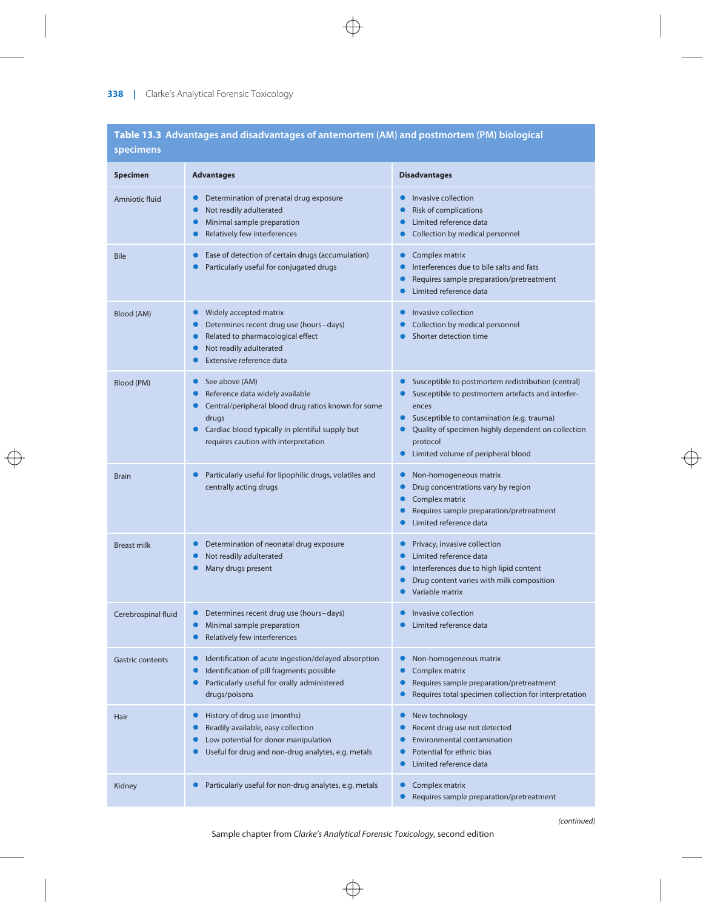# **338** | Clarke's Analytical Forensic Toxicology

 $\overline{\bigoplus}$ 

| Table 13.3 Advantages and disadvantages of antemortem (AM) and postmortem (PM) biological<br>specimens |                                                                                                                                                                                                                                                                  |                                                                                                                                                                                                                                                                        |
|--------------------------------------------------------------------------------------------------------|------------------------------------------------------------------------------------------------------------------------------------------------------------------------------------------------------------------------------------------------------------------|------------------------------------------------------------------------------------------------------------------------------------------------------------------------------------------------------------------------------------------------------------------------|
| <b>Specimen</b>                                                                                        | <b>Advantages</b>                                                                                                                                                                                                                                                | <b>Disadvantages</b>                                                                                                                                                                                                                                                   |
| Amniotic fluid                                                                                         | Determination of prenatal drug exposure<br>$\bullet$<br>Not readily adulterated<br>$\bullet$<br>Minimal sample preparation<br>$\bullet$<br>Relatively few interferences<br>$\bullet$                                                                             | Invasive collection<br>Risk of complications<br>Limited reference data<br>$\bullet$<br>Collection by medical personnel<br>$\bullet$                                                                                                                                    |
| <b>Bile</b>                                                                                            | Ease of detection of certain drugs (accumulation)<br>$\bullet$<br>Particularly useful for conjugated drugs<br>$\bullet$                                                                                                                                          | Complex matrix<br>Interferences due to bile salts and fats<br>Requires sample preparation/pretreatment<br>Limited reference data<br>$\bullet$                                                                                                                          |
| Blood (AM)                                                                                             | Widely accepted matrix<br>$\bullet$<br>Determines recent drug use (hours-days)<br>Related to pharmacological effect<br>$\bullet$<br>Not readily adulterated<br>$\bullet$<br>Extensive reference data<br>$\bullet$                                                | Invasive collection<br>Collection by medical personnel<br>Shorter detection time                                                                                                                                                                                       |
| Blood (PM)                                                                                             | See above (AM)<br>$\bullet$<br>Reference data widely available<br>$\bullet$<br>Central/peripheral blood drug ratios known for some<br>$\bullet$<br>drugs<br>Cardiac blood typically in plentiful supply but<br>$\bullet$<br>requires caution with interpretation | Susceptible to postmortem redistribution (central)<br>Susceptible to postmortem artefacts and interfer-<br>ences<br>Susceptible to contamination (e.g. trauma)<br>Quality of specimen highly dependent on collection<br>protocol<br>Limited volume of peripheral blood |
| <b>Brain</b>                                                                                           | Particularly useful for lipophilic drugs, volatiles and<br>$\bullet$<br>centrally acting drugs                                                                                                                                                                   | Non-homogeneous matrix<br>Drug concentrations vary by region<br>Complex matrix<br>Requires sample preparation/pretreatment<br>Limited reference data                                                                                                                   |
| <b>Breast milk</b>                                                                                     | Determination of neonatal drug exposure<br>$\bullet$<br>Not readily adulterated<br>г<br>Many drugs present                                                                                                                                                       | Privacy, invasive collection<br>Limited reference data<br>Interferences due to high lipid content<br>Drug content varies with milk composition<br>Variable matrix                                                                                                      |
| Cerebrospinal fluid                                                                                    | Determines recent drug use (hours-days)<br>$\bullet$<br>Minimal sample preparation<br>∙<br>Relatively few interferences                                                                                                                                          | Invasive collection<br>Limited reference data                                                                                                                                                                                                                          |
| <b>Gastric contents</b>                                                                                | Identification of acute ingestion/delayed absorption<br>$\bullet$<br>Identification of pill fragments possible<br>$\bullet$<br>Particularly useful for orally administered<br>$\bullet$<br>drugs/poisons                                                         | Non-homogeneous matrix<br>Complex matrix<br>Requires sample preparation/pretreatment<br>Requires total specimen collection for interpretation                                                                                                                          |
| Hair                                                                                                   | History of drug use (months)<br>$\bullet$<br>Readily available, easy collection<br>Low potential for donor manipulation<br>Useful for drug and non-drug analytes, e.g. metals<br>$\bullet$                                                                       | New technology<br>$\bullet$<br>Recent drug use not detected<br>Environmental contamination<br>Potential for ethnic bias<br>Limited reference data                                                                                                                      |
| Kidney                                                                                                 | Particularly useful for non-drug analytes, e.g. metals<br>$\bullet$                                                                                                                                                                                              | Complex matrix<br>$\bullet$<br>Requires sample preparation/pretreatment                                                                                                                                                                                                |

Sample chapter from Clarke's Analytical Forensic Toxicology, second edition

(continued)

 $\overline{\bigoplus}$ 

 $\bigoplus$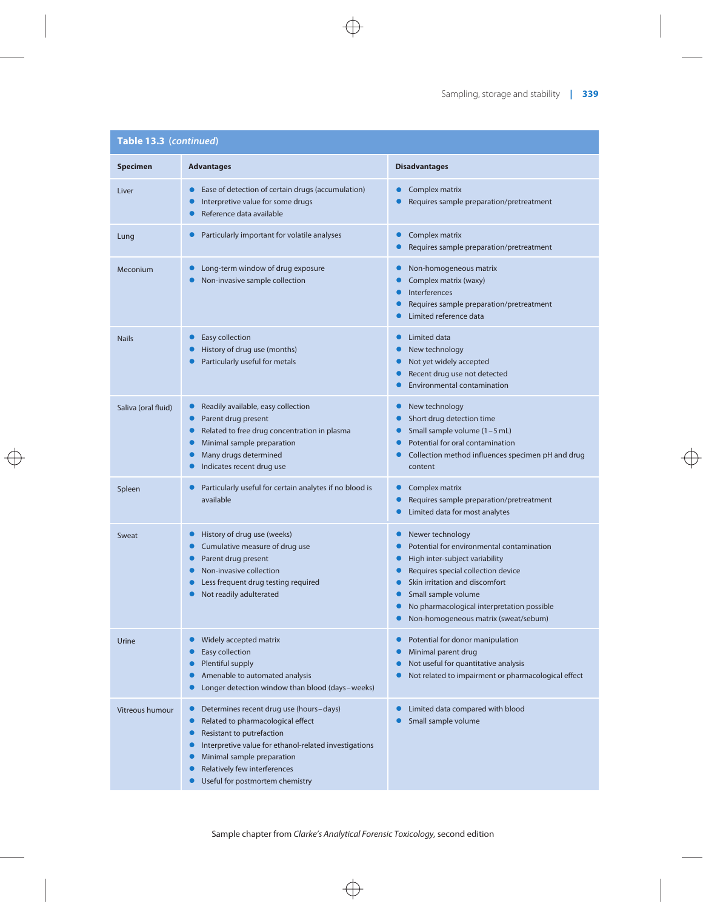$\bigoplus$ 

| Table 13.3 (continued) |                                                                                                                                                                                                                                                                                                                         |                                                                                                                                                                                                                                                                                                                             |
|------------------------|-------------------------------------------------------------------------------------------------------------------------------------------------------------------------------------------------------------------------------------------------------------------------------------------------------------------------|-----------------------------------------------------------------------------------------------------------------------------------------------------------------------------------------------------------------------------------------------------------------------------------------------------------------------------|
| <b>Specimen</b>        | <b>Advantages</b>                                                                                                                                                                                                                                                                                                       | <b>Disadvantages</b>                                                                                                                                                                                                                                                                                                        |
| Liver                  | Ease of detection of certain drugs (accumulation)<br>Interpretive value for some drugs<br>Reference data available<br>$\bullet$                                                                                                                                                                                         | Complex matrix<br>Requires sample preparation/pretreatment                                                                                                                                                                                                                                                                  |
| Lung                   | Particularly important for volatile analyses<br>$\bullet$                                                                                                                                                                                                                                                               | Complex matrix<br>Requires sample preparation/pretreatment                                                                                                                                                                                                                                                                  |
| Meconium               | Long-term window of drug exposure<br>$\bullet$<br>Non-invasive sample collection                                                                                                                                                                                                                                        | Non-homogeneous matrix<br>Complex matrix (waxy)<br>Interferences<br>Requires sample preparation/pretreatment<br>Limited reference data                                                                                                                                                                                      |
| <b>Nails</b>           | Easy collection<br>$\bullet$<br>History of drug use (months)<br>Particularly useful for metals                                                                                                                                                                                                                          | Limited data<br>New technology<br>Not yet widely accepted<br>Recent drug use not detected<br><b>Environmental contamination</b>                                                                                                                                                                                             |
| Saliva (oral fluid)    | Readily available, easy collection<br>$\bullet$<br>Parent drug present<br>$\bullet$<br>Related to free drug concentration in plasma<br>О<br>Minimal sample preparation<br>$\bullet$<br>Many drugs determined<br>Indicates recent drug use<br>$\bullet$                                                                  | New technology<br>Short drug detection time<br>$\bullet$<br>Small sample volume (1-5 mL)<br>Potential for oral contamination<br>Collection method influences specimen pH and drug<br>content                                                                                                                                |
| Spleen                 | Particularly useful for certain analytes if no blood is<br>$\bullet$<br>available                                                                                                                                                                                                                                       | Complex matrix<br>Requires sample preparation/pretreatment<br>Limited data for most analytes                                                                                                                                                                                                                                |
| Sweat                  | History of drug use (weeks)<br>$\bullet$<br>Cumulative measure of drug use<br>Parent drug present<br>Non-invasive collection<br>Less frequent drug testing required<br>Not readily adulterated                                                                                                                          | Newer technology<br>Potential for environmental contamination<br>High inter-subject variability<br>$\bullet$<br>Requires special collection device<br>$\bullet$<br>Skin irritation and discomfort<br>$\bullet$<br>Small sample volume<br>No pharmacological interpretation possible<br>Non-homogeneous matrix (sweat/sebum) |
| Urine                  | Widely accepted matrix<br>$\bullet$<br>Easy collection<br>Plentiful supply<br>Amenable to automated analysis<br>Longer detection window than blood (days-weeks)<br>$\bullet$                                                                                                                                            | Potential for donor manipulation<br>Minimal parent drug<br>Not useful for quantitative analysis<br>Not related to impairment or pharmacological effect                                                                                                                                                                      |
| Vitreous humour        | Determines recent drug use (hours-days)<br>$\bullet$<br>$\bullet$<br>Related to pharmacological effect<br>Resistant to putrefaction<br>$\bullet$<br>Interpretive value for ethanol-related investigations<br>$\bullet$<br>Minimal sample preparation<br>Relatively few interferences<br>Useful for postmortem chemistry | Limited data compared with blood<br>Small sample volume                                                                                                                                                                                                                                                                     |

 $\bigoplus$ 

 $\bigoplus$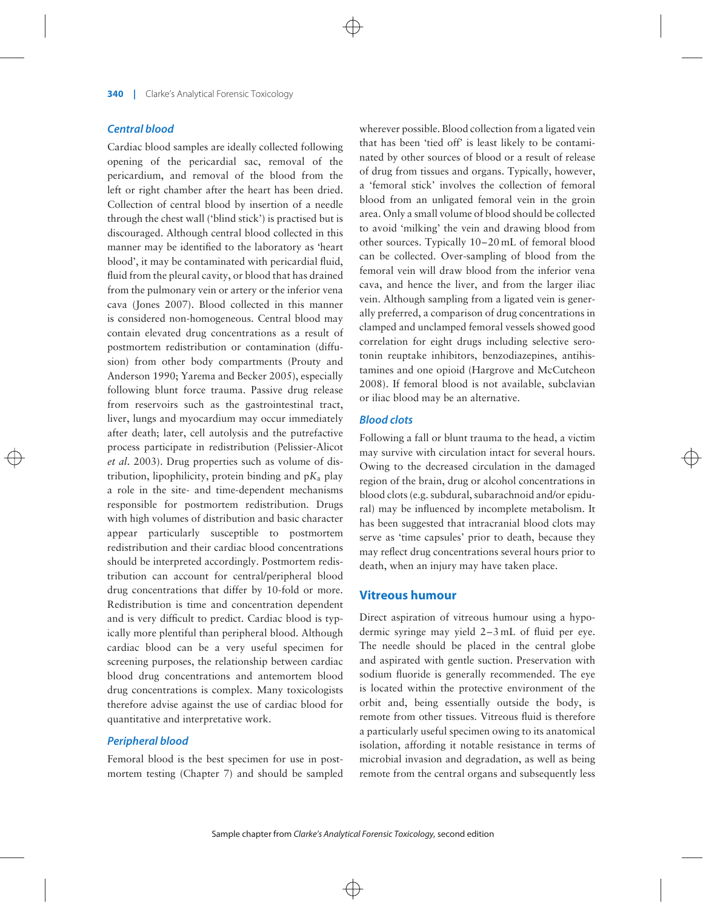# *Central blood*

Cardiac blood samples are ideally collected following opening of the pericardial sac, removal of the pericardium, and removal of the blood from the left or right chamber after the heart has been dried. Collection of central blood by insertion of a needle through the chest wall ('blind stick') is practised but is discouraged. Although central blood collected in this manner may be identified to the laboratory as 'heart blood', it may be contaminated with pericardial fluid, fluid from the pleural cavity, or blood that has drained from the pulmonary vein or artery or the inferior vena cava (Jones 2007). Blood collected in this manner is considered non-homogeneous. Central blood may contain elevated drug concentrations as a result of postmortem redistribution or contamination (diffusion) from other body compartments (Prouty and Anderson 1990; Yarema and Becker 2005), especially following blunt force trauma. Passive drug release from reservoirs such as the gastrointestinal tract, liver, lungs and myocardium may occur immediately after death; later, cell autolysis and the putrefactive process participate in redistribution (Pelissier-Alicot *et al*. 2003). Drug properties such as volume of distribution, lipophilicity, protein binding and  $pK_a$  play a role in the site- and time-dependent mechanisms responsible for postmortem redistribution. Drugs with high volumes of distribution and basic character appear particularly susceptible to postmortem redistribution and their cardiac blood concentrations should be interpreted accordingly. Postmortem redistribution can account for central/peripheral blood drug concentrations that differ by 10-fold or more. Redistribution is time and concentration dependent and is very difficult to predict. Cardiac blood is typically more plentiful than peripheral blood. Although cardiac blood can be a very useful specimen for screening purposes, the relationship between cardiac blood drug concentrations and antemortem blood drug concentrations is complex. Many toxicologists therefore advise against the use of cardiac blood for quantitative and interpretative work.

# *Peripheral blood*

Femoral blood is the best specimen for use in postmortem testing (Chapter 7) and should be sampled wherever possible. Blood collection from a ligated vein that has been 'tied off' is least likely to be contaminated by other sources of blood or a result of release of drug from tissues and organs. Typically, however, a 'femoral stick' involves the collection of femoral blood from an unligated femoral vein in the groin area. Only a small volume of blood should be collected to avoid 'milking' the vein and drawing blood from other sources. Typically 10–20 mL of femoral blood can be collected. Over-sampling of blood from the femoral vein will draw blood from the inferior vena cava, and hence the liver, and from the larger iliac vein. Although sampling from a ligated vein is generally preferred, a comparison of drug concentrations in clamped and unclamped femoral vessels showed good correlation for eight drugs including selective serotonin reuptake inhibitors, benzodiazepines, antihistamines and one opioid (Hargrove and McCutcheon 2008). If femoral blood is not available, subclavian or iliac blood may be an alternative.

#### *Blood clots*

Following a fall or blunt trauma to the head, a victim may survive with circulation intact for several hours. Owing to the decreased circulation in the damaged region of the brain, drug or alcohol concentrations in blood clots (e.g. subdural, subarachnoid and/or epidural) may be influenced by incomplete metabolism. It has been suggested that intracranial blood clots may serve as 'time capsules' prior to death, because they may reflect drug concentrations several hours prior to death, when an injury may have taken place.

# **Vitreous humour**

Direct aspiration of vitreous humour using a hypodermic syringe may yield 2–3 mL of fluid per eye. The needle should be placed in the central globe and aspirated with gentle suction. Preservation with sodium fluoride is generally recommended. The eye is located within the protective environment of the orbit and, being essentially outside the body, is remote from other tissues. Vitreous fluid is therefore a particularly useful specimen owing to its anatomical isolation, affording it notable resistance in terms of microbial invasion and degradation, as well as being remote from the central organs and subsequently less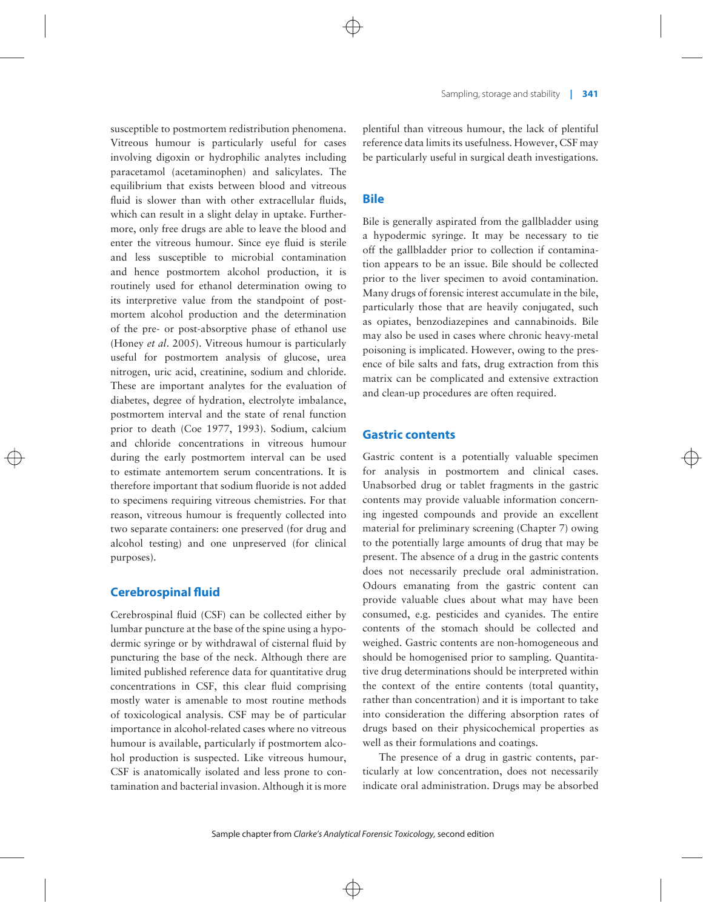Sampling, storage and stability **| 341**

susceptible to postmortem redistribution phenomena. Vitreous humour is particularly useful for cases involving digoxin or hydrophilic analytes including paracetamol (acetaminophen) and salicylates. The equilibrium that exists between blood and vitreous fluid is slower than with other extracellular fluids, which can result in a slight delay in uptake. Furthermore, only free drugs are able to leave the blood and enter the vitreous humour. Since eye fluid is sterile and less susceptible to microbial contamination and hence postmortem alcohol production, it is routinely used for ethanol determination owing to its interpretive value from the standpoint of postmortem alcohol production and the determination of the pre- or post-absorptive phase of ethanol use (Honey *et al*. 2005). Vitreous humour is particularly useful for postmortem analysis of glucose, urea nitrogen, uric acid, creatinine, sodium and chloride. These are important analytes for the evaluation of diabetes, degree of hydration, electrolyte imbalance, postmortem interval and the state of renal function prior to death (Coe 1977, 1993). Sodium, calcium and chloride concentrations in vitreous humour during the early postmortem interval can be used to estimate antemortem serum concentrations. It is therefore important that sodium fluoride is not added to specimens requiring vitreous chemistries. For that reason, vitreous humour is frequently collected into two separate containers: one preserved (for drug and alcohol testing) and one unpreserved (for clinical purposes).

# **Cerebrospinal fluid**

Cerebrospinal fluid (CSF) can be collected either by lumbar puncture at the base of the spine using a hypodermic syringe or by withdrawal of cisternal fluid by puncturing the base of the neck. Although there are limited published reference data for quantitative drug concentrations in CSF, this clear fluid comprising mostly water is amenable to most routine methods of toxicological analysis. CSF may be of particular importance in alcohol-related cases where no vitreous humour is available, particularly if postmortem alcohol production is suspected. Like vitreous humour, CSF is anatomically isolated and less prone to contamination and bacterial invasion. Although it is more plentiful than vitreous humour, the lack of plentiful reference data limits its usefulness. However, CSF may be particularly useful in surgical death investigations.

# **Bile**

Bile is generally aspirated from the gallbladder using a hypodermic syringe. It may be necessary to tie off the gallbladder prior to collection if contamination appears to be an issue. Bile should be collected prior to the liver specimen to avoid contamination. Many drugs of forensic interest accumulate in the bile, particularly those that are heavily conjugated, such as opiates, benzodiazepines and cannabinoids. Bile may also be used in cases where chronic heavy-metal poisoning is implicated. However, owing to the presence of bile salts and fats, drug extraction from this matrix can be complicated and extensive extraction and clean-up procedures are often required.

# **Gastric contents**

Gastric content is a potentially valuable specimen for analysis in postmortem and clinical cases. Unabsorbed drug or tablet fragments in the gastric contents may provide valuable information concerning ingested compounds and provide an excellent material for preliminary screening (Chapter 7) owing to the potentially large amounts of drug that may be present. The absence of a drug in the gastric contents does not necessarily preclude oral administration. Odours emanating from the gastric content can provide valuable clues about what may have been consumed, e.g. pesticides and cyanides. The entire contents of the stomach should be collected and weighed. Gastric contents are non-homogeneous and should be homogenised prior to sampling. Quantitative drug determinations should be interpreted within the context of the entire contents (total quantity, rather than concentration) and it is important to take into consideration the differing absorption rates of drugs based on their physicochemical properties as well as their formulations and coatings.

The presence of a drug in gastric contents, particularly at low concentration, does not necessarily indicate oral administration. Drugs may be absorbed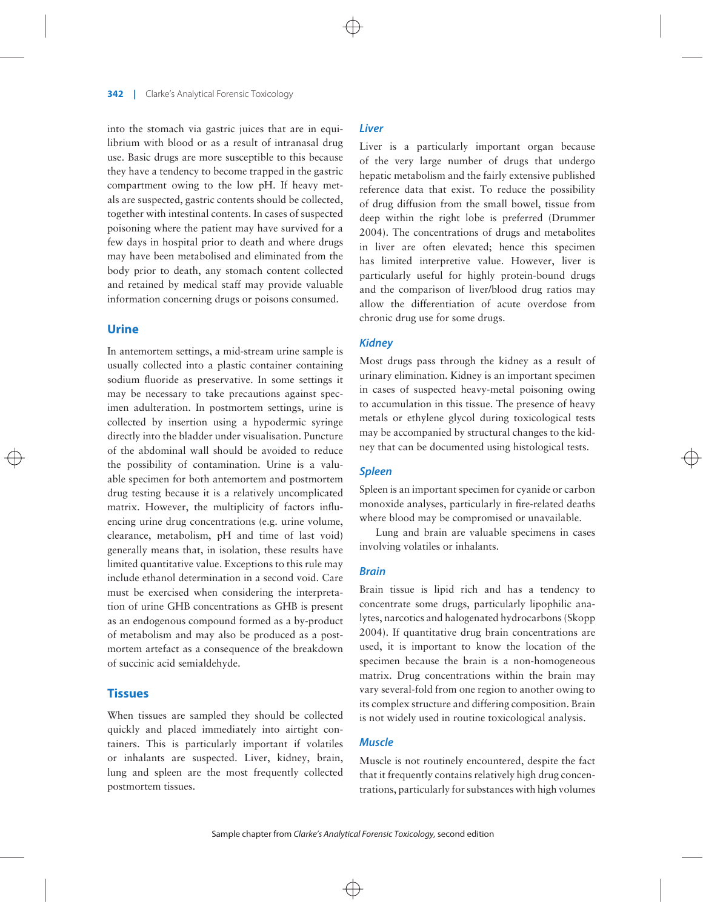into the stomach via gastric juices that are in equilibrium with blood or as a result of intranasal drug use. Basic drugs are more susceptible to this because they have a tendency to become trapped in the gastric compartment owing to the low pH. If heavy metals are suspected, gastric contents should be collected, together with intestinal contents. In cases of suspected poisoning where the patient may have survived for a few days in hospital prior to death and where drugs may have been metabolised and eliminated from the body prior to death, any stomach content collected and retained by medical staff may provide valuable information concerning drugs or poisons consumed.

# **Urine**

In antemortem settings, a mid-stream urine sample is usually collected into a plastic container containing sodium fluoride as preservative. In some settings it may be necessary to take precautions against specimen adulteration. In postmortem settings, urine is collected by insertion using a hypodermic syringe directly into the bladder under visualisation. Puncture of the abdominal wall should be avoided to reduce the possibility of contamination. Urine is a valuable specimen for both antemortem and postmortem drug testing because it is a relatively uncomplicated matrix. However, the multiplicity of factors influencing urine drug concentrations (e.g. urine volume, clearance, metabolism, pH and time of last void) generally means that, in isolation, these results have limited quantitative value. Exceptions to this rule may include ethanol determination in a second void. Care must be exercised when considering the interpretation of urine GHB concentrations as GHB is present as an endogenous compound formed as a by-product of metabolism and may also be produced as a postmortem artefact as a consequence of the breakdown of succinic acid semialdehyde.

# **Tissues**

When tissues are sampled they should be collected quickly and placed immediately into airtight containers. This is particularly important if volatiles or inhalants are suspected. Liver, kidney, brain, lung and spleen are the most frequently collected postmortem tissues.

# *Liver*

Liver is a particularly important organ because of the very large number of drugs that undergo hepatic metabolism and the fairly extensive published reference data that exist. To reduce the possibility of drug diffusion from the small bowel, tissue from deep within the right lobe is preferred (Drummer 2004). The concentrations of drugs and metabolites in liver are often elevated; hence this specimen has limited interpretive value. However, liver is particularly useful for highly protein-bound drugs and the comparison of liver/blood drug ratios may allow the differentiation of acute overdose from chronic drug use for some drugs.

## *Kidney*

Most drugs pass through the kidney as a result of urinary elimination. Kidney is an important specimen in cases of suspected heavy-metal poisoning owing to accumulation in this tissue. The presence of heavy metals or ethylene glycol during toxicological tests may be accompanied by structural changes to the kidney that can be documented using histological tests.

# *Spleen*

Spleen is an important specimen for cyanide or carbon monoxide analyses, particularly in fire-related deaths where blood may be compromised or unavailable.

Lung and brain are valuable specimens in cases involving volatiles or inhalants.

#### *Brain*

Brain tissue is lipid rich and has a tendency to concentrate some drugs, particularly lipophilic analytes, narcotics and halogenated hydrocarbons (Skopp 2004). If quantitative drug brain concentrations are used, it is important to know the location of the specimen because the brain is a non-homogeneous matrix. Drug concentrations within the brain may vary several-fold from one region to another owing to its complex structure and differing composition. Brain is not widely used in routine toxicological analysis.

#### *Muscle*

Muscle is not routinely encountered, despite the fact that it frequently contains relatively high drug concentrations, particularly for substances with high volumes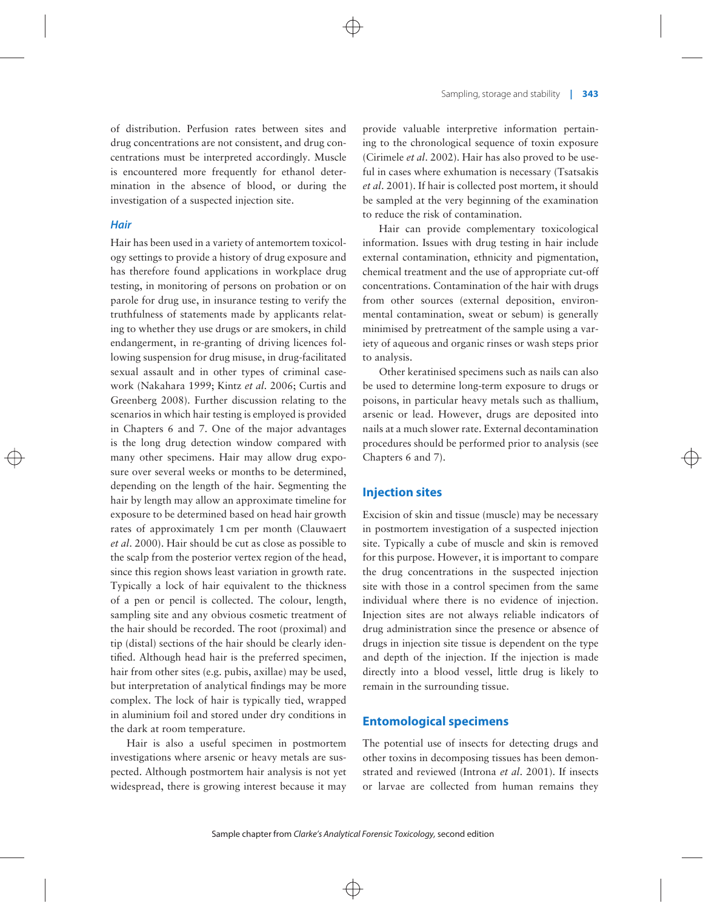of distribution. Perfusion rates between sites and drug concentrations are not consistent, and drug concentrations must be interpreted accordingly. Muscle is encountered more frequently for ethanol determination in the absence of blood, or during the investigation of a suspected injection site.

# *Hair*

Hair has been used in a variety of antemortem toxicology settings to provide a history of drug exposure and has therefore found applications in workplace drug testing, in monitoring of persons on probation or on parole for drug use, in insurance testing to verify the truthfulness of statements made by applicants relating to whether they use drugs or are smokers, in child endangerment, in re-granting of driving licences following suspension for drug misuse, in drug-facilitated sexual assault and in other types of criminal casework (Nakahara 1999; Kintz *et al*. 2006; Curtis and Greenberg 2008). Further discussion relating to the scenarios in which hair testing is employed is provided in Chapters 6 and 7. One of the major advantages is the long drug detection window compared with many other specimens. Hair may allow drug exposure over several weeks or months to be determined, depending on the length of the hair. Segmenting the hair by length may allow an approximate timeline for exposure to be determined based on head hair growth rates of approximately 1 cm per month (Clauwaert *et al*. 2000). Hair should be cut as close as possible to the scalp from the posterior vertex region of the head, since this region shows least variation in growth rate. Typically a lock of hair equivalent to the thickness of a pen or pencil is collected. The colour, length, sampling site and any obvious cosmetic treatment of the hair should be recorded. The root (proximal) and tip (distal) sections of the hair should be clearly identified. Although head hair is the preferred specimen, hair from other sites (e.g. pubis, axillae) may be used, but interpretation of analytical findings may be more complex. The lock of hair is typically tied, wrapped in aluminium foil and stored under dry conditions in the dark at room temperature.

Hair is also a useful specimen in postmortem investigations where arsenic or heavy metals are suspected. Although postmortem hair analysis is not yet widespread, there is growing interest because it may provide valuable interpretive information pertaining to the chronological sequence of toxin exposure (Cirimele *et al*. 2002). Hair has also proved to be useful in cases where exhumation is necessary (Tsatsakis *et al*. 2001). If hair is collected post mortem, it should be sampled at the very beginning of the examination to reduce the risk of contamination.

Hair can provide complementary toxicological information. Issues with drug testing in hair include external contamination, ethnicity and pigmentation, chemical treatment and the use of appropriate cut-off concentrations. Contamination of the hair with drugs from other sources (external deposition, environmental contamination, sweat or sebum) is generally minimised by pretreatment of the sample using a variety of aqueous and organic rinses or wash steps prior to analysis.

Other keratinised specimens such as nails can also be used to determine long-term exposure to drugs or poisons, in particular heavy metals such as thallium, arsenic or lead. However, drugs are deposited into nails at a much slower rate. External decontamination procedures should be performed prior to analysis (see Chapters 6 and 7).

# **Injection sites**

Excision of skin and tissue (muscle) may be necessary in postmortem investigation of a suspected injection site. Typically a cube of muscle and skin is removed for this purpose. However, it is important to compare the drug concentrations in the suspected injection site with those in a control specimen from the same individual where there is no evidence of injection. Injection sites are not always reliable indicators of drug administration since the presence or absence of drugs in injection site tissue is dependent on the type and depth of the injection. If the injection is made directly into a blood vessel, little drug is likely to remain in the surrounding tissue.

# **Entomological specimens**

The potential use of insects for detecting drugs and other toxins in decomposing tissues has been demonstrated and reviewed (Introna *et al*. 2001). If insects or larvae are collected from human remains they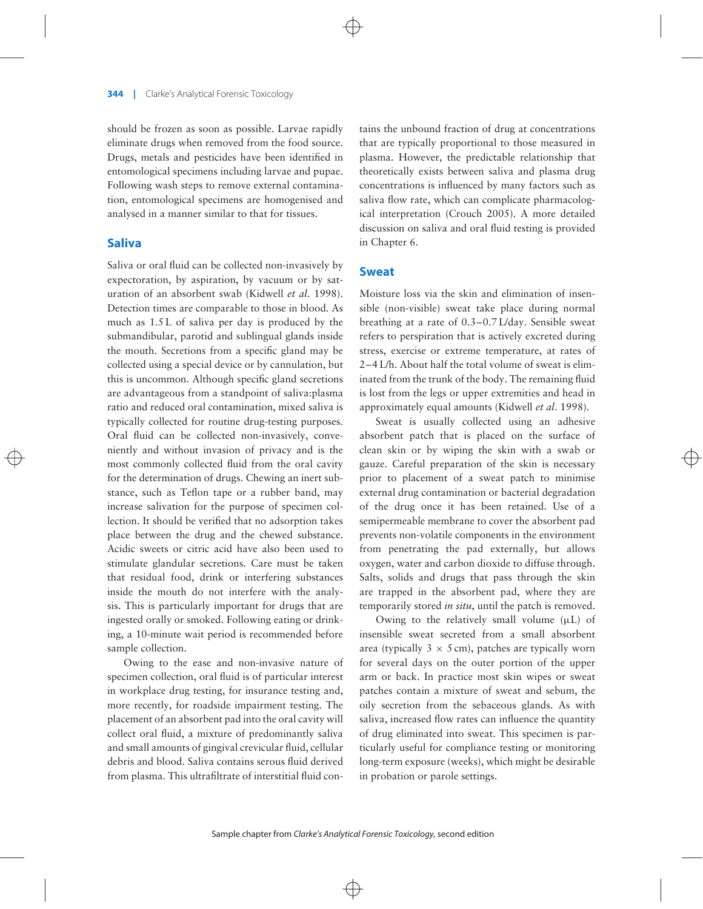should be frozen as soon as possible. Larvae rapidly eliminate drugs when removed from the food source. Drugs, metals and pesticides have been identified in entomological specimens including larvae and pupae. Following wash steps to remove external contamination, entomological specimens are homogenised and analysed in a manner similar to that for tissues.

# **Saliva**

Saliva or oral fluid can be collected non-invasively by expectoration, by aspiration, by vacuum or by saturation of an absorbent swab (Kidwell *et al*. 1998). Detection times are comparable to those in blood. As much as 1.5 L of saliva per day is produced by the submandibular, parotid and sublingual glands inside the mouth. Secretions from a specific gland may be collected using a special device or by cannulation, but this is uncommon. Although specific gland secretions are advantageous from a standpoint of saliva:plasma ratio and reduced oral contamination, mixed saliva is typically collected for routine drug-testing purposes. Oral fluid can be collected non-invasively, conveniently and without invasion of privacy and is the most commonly collected fluid from the oral cavity for the determination of drugs. Chewing an inert substance, such as Teflon tape or a rubber band, may increase salivation for the purpose of specimen collection. It should be verified that no adsorption takes place between the drug and the chewed substance. Acidic sweets or citric acid have also been used to stimulate glandular secretions. Care must be taken that residual food, drink or interfering substances inside the mouth do not interfere with the analysis. This is particularly important for drugs that are ingested orally or smoked. Following eating or drinking, a 10-minute wait period is recommended before sample collection.

Owing to the ease and non-invasive nature of specimen collection, oral fluid is of particular interest in workplace drug testing, for insurance testing and, more recently, for roadside impairment testing. The placement of an absorbent pad into the oral cavity will collect oral fluid, a mixture of predominantly saliva and small amounts of gingival crevicular fluid, cellular debris and blood. Saliva contains serous fluid derived from plasma. This ultrafiltrate of interstitial fluid contains the unbound fraction of drug at concentrations that are typically proportional to those measured in plasma. However, the predictable relationship that theoretically exists between saliva and plasma drug concentrations is influenced by many factors such as saliva flow rate, which can complicate pharmacological interpretation (Crouch 2005). A more detailed discussion on saliva and oral fluid testing is provided in Chapter 6.

# **Sweat**

Moisture loss via the skin and elimination of insensible (non-visible) sweat take place during normal breathing at a rate of 0.3–0.7 L/day. Sensible sweat refers to perspiration that is actively excreted during stress, exercise or extreme temperature, at rates of 2–4 L/h. About half the total volume of sweat is eliminated from the trunk of the body. The remaining fluid is lost from the legs or upper extremities and head in approximately equal amounts (Kidwell *et al*. 1998).

Sweat is usually collected using an adhesive absorbent patch that is placed on the surface of clean skin or by wiping the skin with a swab or gauze. Careful preparation of the skin is necessary prior to placement of a sweat patch to minimise external drug contamination or bacterial degradation of the drug once it has been retained. Use of a semipermeable membrane to cover the absorbent pad prevents non-volatile components in the environment from penetrating the pad externally, but allows oxygen, water and carbon dioxide to diffuse through. Salts, solids and drugs that pass through the skin are trapped in the absorbent pad, where they are temporarily stored *in situ*, until the patch is removed.

Owing to the relatively small volume  $(\mu L)$  of insensible sweat secreted from a small absorbent area (typically  $3 \times 5$  cm), patches are typically worn for several days on the outer portion of the upper arm or back. In practice most skin wipes or sweat patches contain a mixture of sweat and sebum, the oily secretion from the sebaceous glands. As with saliva, increased flow rates can influence the quantity of drug eliminated into sweat. This specimen is particularly useful for compliance testing or monitoring long-term exposure (weeks), which might be desirable in probation or parole settings.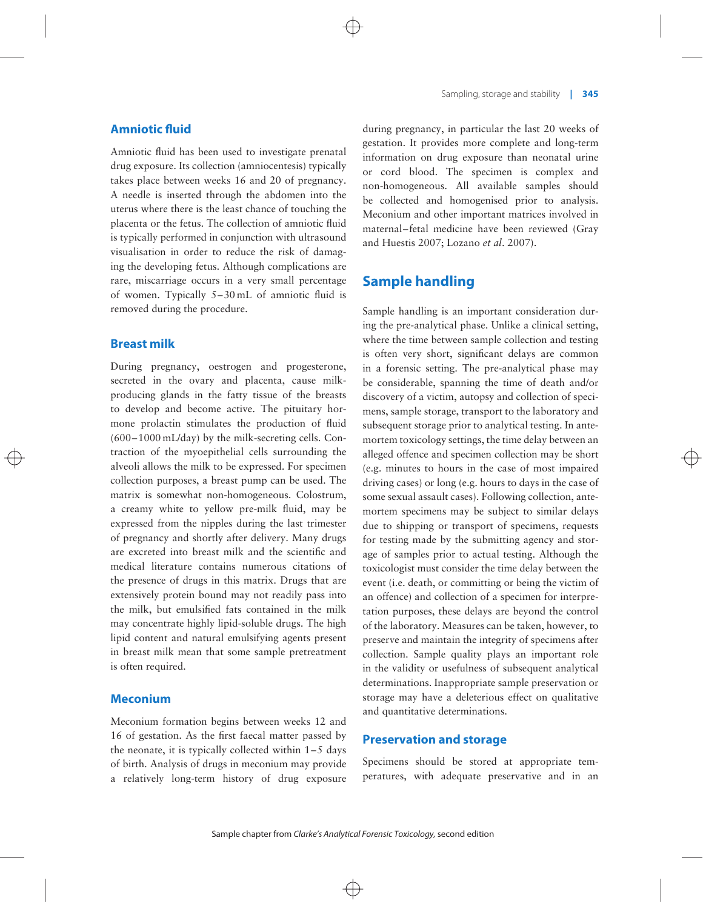# **Amniotic fluid**

Amniotic fluid has been used to investigate prenatal drug exposure. Its collection (amniocentesis) typically takes place between weeks 16 and 20 of pregnancy. A needle is inserted through the abdomen into the uterus where there is the least chance of touching the placenta or the fetus. The collection of amniotic fluid is typically performed in conjunction with ultrasound visualisation in order to reduce the risk of damaging the developing fetus. Although complications are rare, miscarriage occurs in a very small percentage of women. Typically 5–30 mL of amniotic fluid is removed during the procedure.

## **Breast milk**

During pregnancy, oestrogen and progesterone, secreted in the ovary and placenta, cause milkproducing glands in the fatty tissue of the breasts to develop and become active. The pituitary hormone prolactin stimulates the production of fluid (600–1000 mL/day) by the milk-secreting cells. Contraction of the myoepithelial cells surrounding the alveoli allows the milk to be expressed. For specimen collection purposes, a breast pump can be used. The matrix is somewhat non-homogeneous. Colostrum, a creamy white to yellow pre-milk fluid, may be expressed from the nipples during the last trimester of pregnancy and shortly after delivery. Many drugs are excreted into breast milk and the scientific and medical literature contains numerous citations of the presence of drugs in this matrix. Drugs that are extensively protein bound may not readily pass into the milk, but emulsified fats contained in the milk may concentrate highly lipid-soluble drugs. The high lipid content and natural emulsifying agents present in breast milk mean that some sample pretreatment is often required.

# **Meconium**

Meconium formation begins between weeks 12 and 16 of gestation. As the first faecal matter passed by the neonate, it is typically collected within 1–5 days of birth. Analysis of drugs in meconium may provide a relatively long-term history of drug exposure during pregnancy, in particular the last 20 weeks of gestation. It provides more complete and long-term information on drug exposure than neonatal urine or cord blood. The specimen is complex and non-homogeneous. All available samples should be collected and homogenised prior to analysis. Meconium and other important matrices involved in maternal– fetal medicine have been reviewed (Gray and Huestis 2007; Lozano *et al*. 2007).

# **Sample handling**

Sample handling is an important consideration during the pre-analytical phase. Unlike a clinical setting, where the time between sample collection and testing is often very short, significant delays are common in a forensic setting. The pre-analytical phase may be considerable, spanning the time of death and/or discovery of a victim, autopsy and collection of specimens, sample storage, transport to the laboratory and subsequent storage prior to analytical testing. In antemortem toxicology settings, the time delay between an alleged offence and specimen collection may be short (e.g. minutes to hours in the case of most impaired driving cases) or long (e.g. hours to days in the case of some sexual assault cases). Following collection, antemortem specimens may be subject to similar delays due to shipping or transport of specimens, requests for testing made by the submitting agency and storage of samples prior to actual testing. Although the toxicologist must consider the time delay between the event (i.e. death, or committing or being the victim of an offence) and collection of a specimen for interpretation purposes, these delays are beyond the control of the laboratory. Measures can be taken, however, to preserve and maintain the integrity of specimens after collection. Sample quality plays an important role in the validity or usefulness of subsequent analytical determinations. Inappropriate sample preservation or storage may have a deleterious effect on qualitative and quantitative determinations.

# **Preservation and storage**

Specimens should be stored at appropriate temperatures, with adequate preservative and in an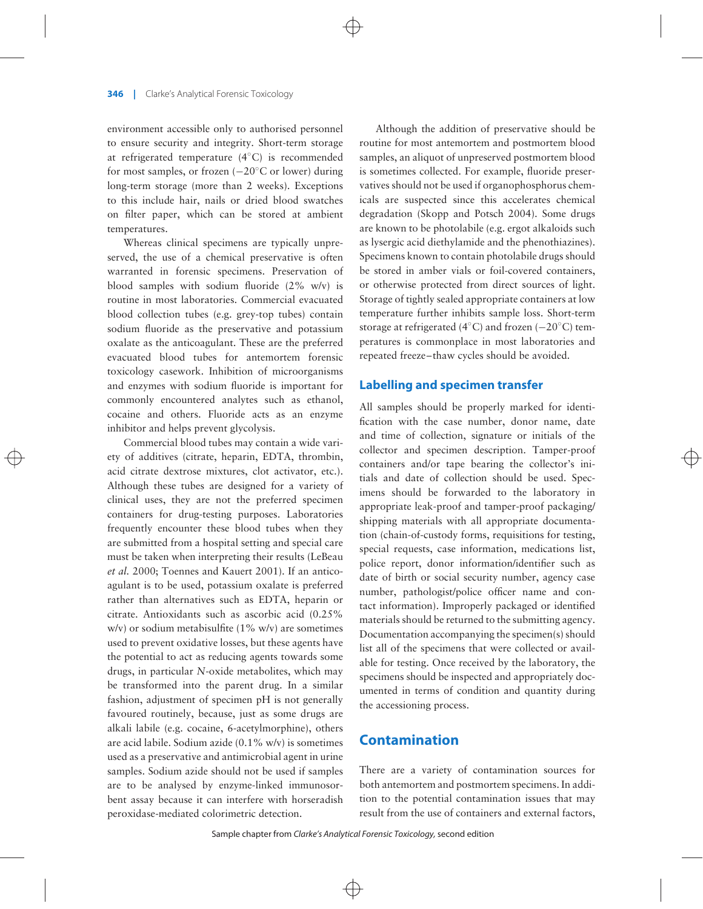environment accessible only to authorised personnel to ensure security and integrity. Short-term storage at refrigerated temperature (4◦ C) is recommended for most samples, or frozen (−20◦ C or lower) during long-term storage (more than 2 weeks). Exceptions to this include hair, nails or dried blood swatches on filter paper, which can be stored at ambient temperatures.

Whereas clinical specimens are typically unpreserved, the use of a chemical preservative is often warranted in forensic specimens. Preservation of blood samples with sodium fluoride (2% w/v) is routine in most laboratories. Commercial evacuated blood collection tubes (e.g. grey-top tubes) contain sodium fluoride as the preservative and potassium oxalate as the anticoagulant. These are the preferred evacuated blood tubes for antemortem forensic toxicology casework. Inhibition of microorganisms and enzymes with sodium fluoride is important for commonly encountered analytes such as ethanol, cocaine and others. Fluoride acts as an enzyme inhibitor and helps prevent glycolysis.

Commercial blood tubes may contain a wide variety of additives (citrate, heparin, EDTA, thrombin, acid citrate dextrose mixtures, clot activator, etc.). Although these tubes are designed for a variety of clinical uses, they are not the preferred specimen containers for drug-testing purposes. Laboratories frequently encounter these blood tubes when they are submitted from a hospital setting and special care must be taken when interpreting their results (LeBeau *et al.* 2000; Toennes and Kauert 2001). If an anticoagulant is to be used, potassium oxalate is preferred rather than alternatives such as EDTA, heparin or citrate. Antioxidants such as ascorbic acid (0.25% w/v) or sodium metabisulfite (1% w/v) are sometimes used to prevent oxidative losses, but these agents have the potential to act as reducing agents towards some drugs, in particular *N*-oxide metabolites, which may be transformed into the parent drug. In a similar fashion, adjustment of specimen pH is not generally favoured routinely, because, just as some drugs are alkali labile (e.g. cocaine, 6-acetylmorphine), others are acid labile. Sodium azide (0.1% w/v) is sometimes used as a preservative and antimicrobial agent in urine samples. Sodium azide should not be used if samples are to be analysed by enzyme-linked immunosorbent assay because it can interfere with horseradish peroxidase-mediated colorimetric detection.

Although the addition of preservative should be routine for most antemortem and postmortem blood samples, an aliquot of unpreserved postmortem blood is sometimes collected. For example, fluoride preservatives should not be used if organophosphorus chemicals are suspected since this accelerates chemical degradation (Skopp and Potsch 2004). Some drugs are known to be photolabile (e.g. ergot alkaloids such as lysergic acid diethylamide and the phenothiazines). Specimens known to contain photolabile drugs should be stored in amber vials or foil-covered containers, or otherwise protected from direct sources of light. Storage of tightly sealed appropriate containers at low temperature further inhibits sample loss. Short-term storage at refrigerated (4 $^{\circ}$ C) and frozen ( $-20^{\circ}$ C) temperatures is commonplace in most laboratories and repeated freeze– thaw cycles should be avoided.

# **Labelling and specimen transfer**

All samples should be properly marked for identification with the case number, donor name, date and time of collection, signature or initials of the collector and specimen description. Tamper-proof containers and/or tape bearing the collector's initials and date of collection should be used. Specimens should be forwarded to the laboratory in appropriate leak-proof and tamper-proof packaging/ shipping materials with all appropriate documentation (chain-of-custody forms, requisitions for testing, special requests, case information, medications list, police report, donor information/identifier such as date of birth or social security number, agency case number, pathologist/police officer name and contact information). Improperly packaged or identified materials should be returned to the submitting agency. Documentation accompanying the specimen(s) should list all of the specimens that were collected or available for testing. Once received by the laboratory, the specimens should be inspected and appropriately documented in terms of condition and quantity during the accessioning process.

# **Contamination**

There are a variety of contamination sources for both antemortem and postmortem specimens. In addition to the potential contamination issues that may result from the use of containers and external factors,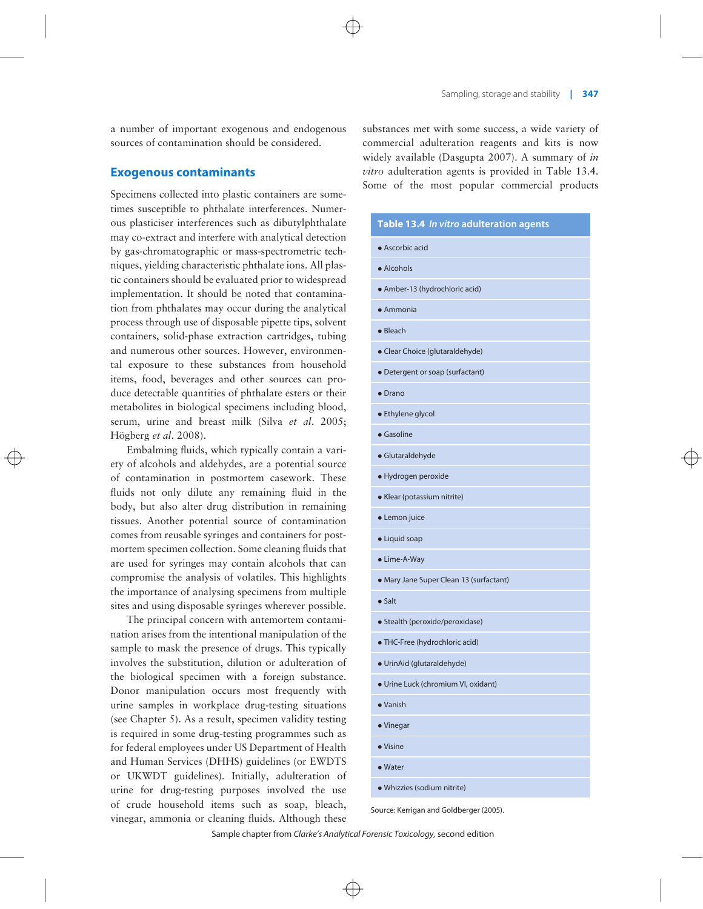a number of important exogenous and endogenous sources of contamination should be considered.

# **Exogenous contaminants**

Specimens collected into plastic containers are sometimes susceptible to phthalate interferences. Numerous plasticiser interferences such as dibutylphthalate may co-extract and interfere with analytical detection by gas-chromatographic or mass-spectrometric techniques, yielding characteristic phthalate ions. All plastic containers should be evaluated prior to widespread implementation. It should be noted that contamination from phthalates may occur during the analytical process through use of disposable pipette tips, solvent containers, solid-phase extraction cartridges, tubing and numerous other sources. However, environmental exposure to these substances from household items, food, beverages and other sources can produce detectable quantities of phthalate esters or their metabolites in biological specimens including blood, serum, urine and breast milk (Silva *et al*. 2005; Högberg et al. 2008).

Embalming fluids, which typically contain a variety of alcohols and aldehydes, are a potential source of contamination in postmortem casework. These fluids not only dilute any remaining fluid in the body, but also alter drug distribution in remaining tissues. Another potential source of contamination comes from reusable syringes and containers for postmortem specimen collection. Some cleaning fluids that are used for syringes may contain alcohols that can compromise the analysis of volatiles. This highlights the importance of analysing specimens from multiple sites and using disposable syringes wherever possible.

The principal concern with antemortem contamination arises from the intentional manipulation of the sample to mask the presence of drugs. This typically involves the substitution, dilution or adulteration of the biological specimen with a foreign substance. Donor manipulation occurs most frequently with urine samples in workplace drug-testing situations (see Chapter 5). As a result, specimen validity testing is required in some drug-testing programmes such as for federal employees under US Department of Health and Human Services (DHHS) guidelines (or EWDTS or UKWDT guidelines). Initially, adulteration of urine for drug-testing purposes involved the use of crude household items such as soap, bleach, vinegar, ammonia or cleaning fluids. Although these substances met with some success, a wide variety of commercial adulteration reagents and kits is now widely available (Dasgupta 2007). A summary of *in vitro* adulteration agents is provided in Table 13.4. Some of the most popular commercial products

| Table 13.4 In vitro adulteration agents |
|-----------------------------------------|
| • Ascorbic acid                         |
| · Alcohols                              |
| · Amber-13 (hydrochloric acid)          |
| · Ammonia                               |
| $\bullet$ Bleach                        |
| · Clear Choice (glutaraldehyde)         |
| · Detergent or soap (surfactant)        |
| • Drano                                 |
| · Ethylene glycol                       |
| $\bullet$ Gasoline                      |
| · Glutaraldehyde                        |
| · Hydrogen peroxide                     |
| · Klear (potassium nitrite)             |
| · Lemon juice                           |
| • Liquid soap                           |
| • Lime-A-Way                            |
| · Mary Jane Super Clean 13 (surfactant) |
| $\bullet$ Salt                          |
| · Stealth (peroxide/peroxidase)         |
| · THC-Free (hydrochloric acid)          |
| · UrinAid (glutaraldehyde)              |
| · Urine Luck (chromium VI, oxidant)     |
| · Vanish                                |
| • Vinegar                               |
| • Visine                                |
| $\bullet$ Water                         |

• Whizzies (sodium nitrite)

Source: Kerrigan and Goldberger (2005).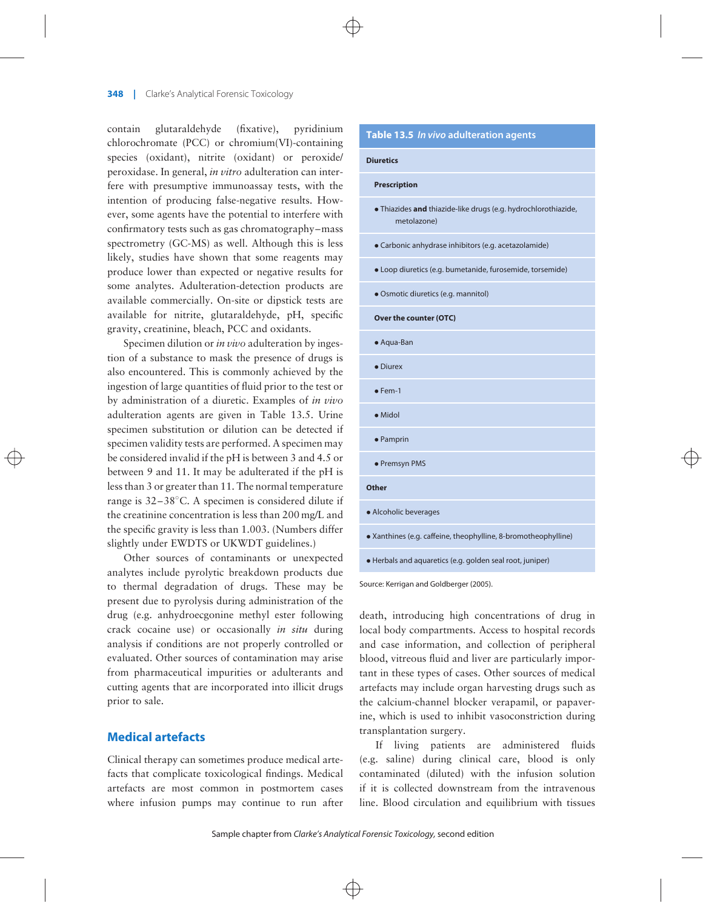#### **348** | Clarke's Analytical Forensic Toxicology

contain glutaraldehyde (fixative), pyridinium chlorochromate (PCC) or chromium(VI)-containing species (oxidant), nitrite (oxidant) or peroxide/ peroxidase. In general, *in vitro* adulteration can interfere with presumptive immunoassay tests, with the intention of producing false-negative results. However, some agents have the potential to interfere with confirmatory tests such as gas chromatography–mass spectrometry (GC-MS) as well. Although this is less likely, studies have shown that some reagents may produce lower than expected or negative results for some analytes. Adulteration-detection products are available commercially. On-site or dipstick tests are available for nitrite, glutaraldehyde, pH, specific gravity, creatinine, bleach, PCC and oxidants.

Specimen dilution or *in vivo* adulteration by ingestion of a substance to mask the presence of drugs is also encountered. This is commonly achieved by the ingestion of large quantities of fluid prior to the test or by administration of a diuretic. Examples of *in vivo* adulteration agents are given in Table 13.5. Urine specimen substitution or dilution can be detected if specimen validity tests are performed. A specimen may be considered invalid if the pH is between 3 and 4.5 or between 9 and 11. It may be adulterated if the pH is less than 3 or greater than 11. The normal temperature range is 32–38◦ C. A specimen is considered dilute if the creatinine concentration is less than 200 mg/L and the specific gravity is less than 1.003. (Numbers differ slightly under EWDTS or UKWDT guidelines.)

Other sources of contaminants or unexpected analytes include pyrolytic breakdown products due to thermal degradation of drugs. These may be present due to pyrolysis during administration of the drug (e.g. anhydroecgonine methyl ester following crack cocaine use) or occasionally *in situ* during analysis if conditions are not properly controlled or evaluated. Other sources of contamination may arise from pharmaceutical impurities or adulterants and cutting agents that are incorporated into illicit drugs prior to sale.

# **Medical artefacts**

Clinical therapy can sometimes produce medical artefacts that complicate toxicological findings. Medical artefacts are most common in postmortem cases where infusion pumps may continue to run after

# **Table 13.5** *In vivo* **adulteration agents**

#### **Diuretics**

#### **Prescription**

- Thiazides **and** thiazide-like drugs (e.g. hydrochlorothiazide, metolazone)
- Carbonic anhydrase inhibitors (e.g. acetazolamide)
- Loop diuretics (e.g. bumetanide, furosemide, torsemide)
- Osmotic diuretics (e.g. mannitol)

| Over the counter (OTC)                                         |
|----------------------------------------------------------------|
| • Aqua-Ban                                                     |
| · Diurex                                                       |
| $Eem-1$                                                        |
| $\bullet$ Midol                                                |
| • Pamprin                                                      |
| • Premsyn PMS                                                  |
| Other                                                          |
| • Alcoholic beverages                                          |
| • Xanthines (e.g. caffeine, theophylline, 8-bromotheophylline) |
| · Herbals and aquaretics (e.g. golden seal root, juniper)      |

Source: Kerrigan and Goldberger (2005).

death, introducing high concentrations of drug in local body compartments. Access to hospital records and case information, and collection of peripheral blood, vitreous fluid and liver are particularly important in these types of cases. Other sources of medical artefacts may include organ harvesting drugs such as the calcium-channel blocker verapamil, or papaverine, which is used to inhibit vasoconstriction during transplantation surgery.

If living patients are administered fluids (e.g. saline) during clinical care, blood is only contaminated (diluted) with the infusion solution if it is collected downstream from the intravenous line. Blood circulation and equilibrium with tissues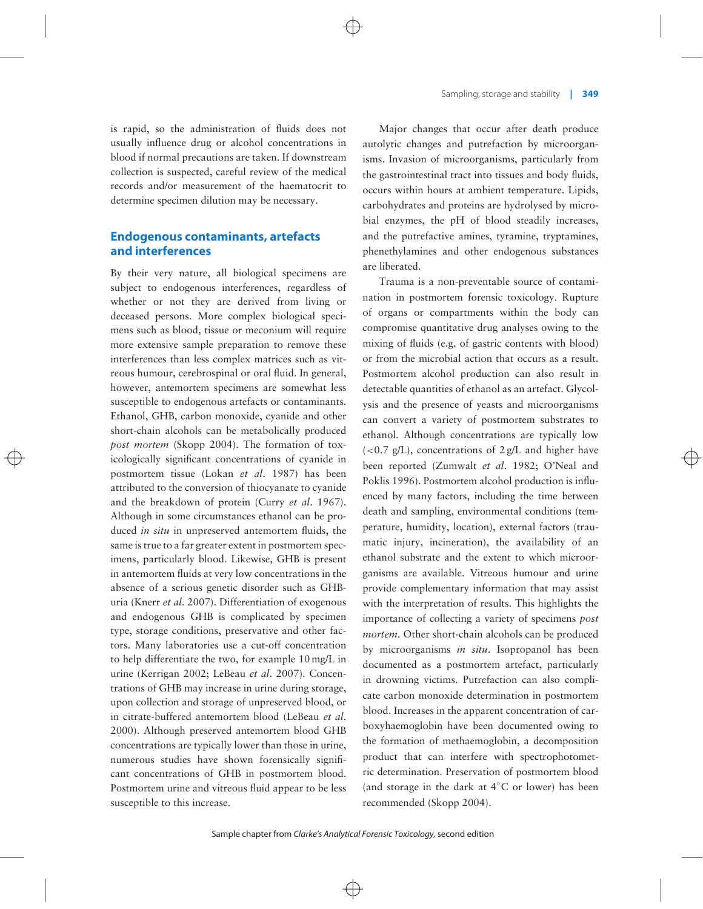is rapid, so the administration of fluids does not usually influence drug or alcohol concentrations in blood if normal precautions are taken. If downstream collection is suspected, careful review of the medical records and/or measurement of the haematocrit to determine specimen dilution may be necessary.

# **Endogenous contaminants, artefacts and interferences**

By their very nature, all biological specimens are subject to endogenous interferences, regardless of whether or not they are derived from living or deceased persons. More complex biological specimens such as blood, tissue or meconium will require more extensive sample preparation to remove these interferences than less complex matrices such as vitreous humour, cerebrospinal or oral fluid. In general, however, antemortem specimens are somewhat less susceptible to endogenous artefacts or contaminants. Ethanol, GHB, carbon monoxide, cyanide and other short-chain alcohols can be metabolically produced *post mortem* (Skopp 2004). The formation of toxicologically significant concentrations of cyanide in postmortem tissue (Lokan *et al*. 1987) has been attributed to the conversion of thiocyanate to cyanide and the breakdown of protein (Curry *et al*. 1967). Although in some circumstances ethanol can be produced *in situ* in unpreserved antemortem fluids, the same is true to a far greater extent in postmortem specimens, particularly blood. Likewise, GHB is present in antemortem fluids at very low concentrations in the absence of a serious genetic disorder such as GHBuria (Knerr *et al*. 2007). Differentiation of exogenous and endogenous GHB is complicated by specimen type, storage conditions, preservative and other factors. Many laboratories use a cut-off concentration to help differentiate the two, for example 10 mg/L in urine (Kerrigan 2002; LeBeau *et al*. 2007). Concentrations of GHB may increase in urine during storage, upon collection and storage of unpreserved blood, or in citrate-buffered antemortem blood (LeBeau *et al*. 2000). Although preserved antemortem blood GHB concentrations are typically lower than those in urine, numerous studies have shown forensically significant concentrations of GHB in postmortem blood. Postmortem urine and vitreous fluid appear to be less susceptible to this increase.

Major changes that occur after death produce autolytic changes and putrefaction by microorganisms. Invasion of microorganisms, particularly from the gastrointestinal tract into tissues and body fluids, occurs within hours at ambient temperature. Lipids, carbohydrates and proteins are hydrolysed by microbial enzymes, the pH of blood steadily increases, and the putrefactive amines, tyramine, tryptamines, phenethylamines and other endogenous substances are liberated.

Trauma is a non-preventable source of contamination in postmortem forensic toxicology. Rupture of organs or compartments within the body can compromise quantitative drug analyses owing to the mixing of fluids (e.g. of gastric contents with blood) or from the microbial action that occurs as a result. Postmortem alcohol production can also result in detectable quantities of ethanol as an artefact. Glycolysis and the presence of yeasts and microorganisms can convert a variety of postmortem substrates to ethanol. Although concentrations are typically low (*<*0.7 g/L), concentrations of 2 g/L and higher have been reported (Zumwalt *et al*. 1982; O'Neal and Poklis 1996). Postmortem alcohol production is influenced by many factors, including the time between death and sampling, environmental conditions (temperature, humidity, location), external factors (traumatic injury, incineration), the availability of an ethanol substrate and the extent to which microorganisms are available. Vitreous humour and urine provide complementary information that may assist with the interpretation of results. This highlights the importance of collecting a variety of specimens *post mortem*. Other short-chain alcohols can be produced by microorganisms *in situ*. Isopropanol has been documented as a postmortem artefact, particularly in drowning victims. Putrefaction can also complicate carbon monoxide determination in postmortem blood. Increases in the apparent concentration of carboxyhaemoglobin have been documented owing to the formation of methaemoglobin, a decomposition product that can interfere with spectrophotometric determination. Preservation of postmortem blood (and storage in the dark at 4◦ C or lower) has been recommended (Skopp 2004).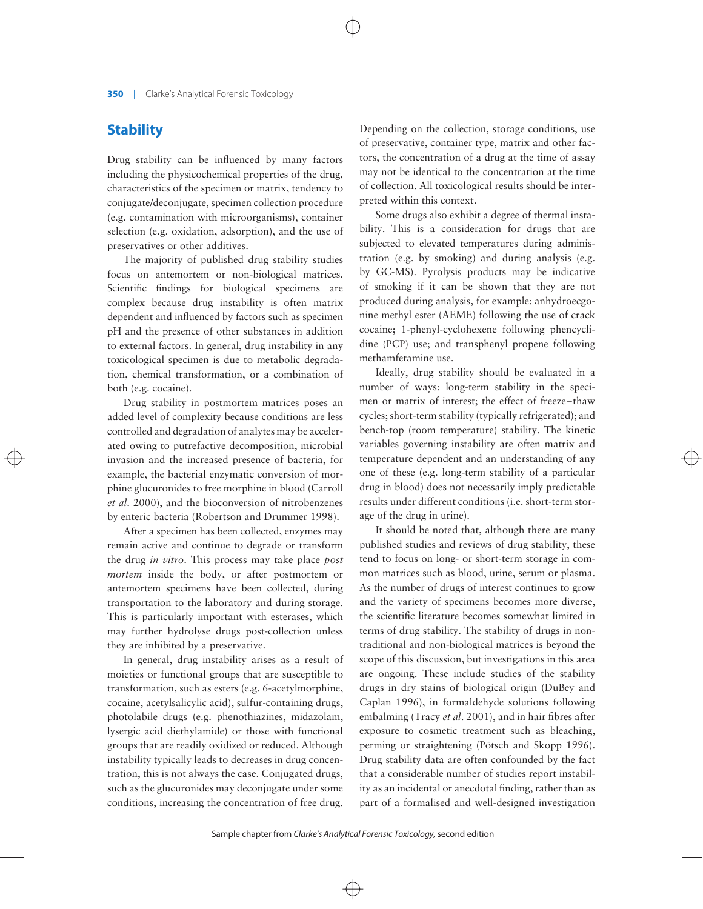# **Stability**

Drug stability can be influenced by many factors including the physicochemical properties of the drug, characteristics of the specimen or matrix, tendency to conjugate/deconjugate, specimen collection procedure (e.g. contamination with microorganisms), container selection (e.g. oxidation, adsorption), and the use of preservatives or other additives.

The majority of published drug stability studies focus on antemortem or non-biological matrices. Scientific findings for biological specimens are complex because drug instability is often matrix dependent and influenced by factors such as specimen pH and the presence of other substances in addition to external factors. In general, drug instability in any toxicological specimen is due to metabolic degradation, chemical transformation, or a combination of both (e.g. cocaine).

Drug stability in postmortem matrices poses an added level of complexity because conditions are less controlled and degradation of analytes may be accelerated owing to putrefactive decomposition, microbial invasion and the increased presence of bacteria, for example, the bacterial enzymatic conversion of morphine glucuronides to free morphine in blood (Carroll *et al*. 2000), and the bioconversion of nitrobenzenes by enteric bacteria (Robertson and Drummer 1998).

After a specimen has been collected, enzymes may remain active and continue to degrade or transform the drug *in vitro*. This process may take place *post mortem* inside the body, or after postmortem or antemortem specimens have been collected, during transportation to the laboratory and during storage. This is particularly important with esterases, which may further hydrolyse drugs post-collection unless they are inhibited by a preservative.

In general, drug instability arises as a result of moieties or functional groups that are susceptible to transformation, such as esters (e.g. 6-acetylmorphine, cocaine, acetylsalicylic acid), sulfur-containing drugs, photolabile drugs (e.g. phenothiazines, midazolam, lysergic acid diethylamide) or those with functional groups that are readily oxidized or reduced. Although instability typically leads to decreases in drug concentration, this is not always the case. Conjugated drugs, such as the glucuronides may deconjugate under some conditions, increasing the concentration of free drug.

Depending on the collection, storage conditions, use of preservative, container type, matrix and other factors, the concentration of a drug at the time of assay may not be identical to the concentration at the time of collection. All toxicological results should be interpreted within this context.

Some drugs also exhibit a degree of thermal instability. This is a consideration for drugs that are subjected to elevated temperatures during administration (e.g. by smoking) and during analysis (e.g. by GC-MS). Pyrolysis products may be indicative of smoking if it can be shown that they are not produced during analysis, for example: anhydroecgonine methyl ester (AEME) following the use of crack cocaine; 1-phenyl-cyclohexene following phencyclidine (PCP) use; and transphenyl propene following methamfetamine use.

Ideally, drug stability should be evaluated in a number of ways: long-term stability in the specimen or matrix of interest; the effect of freeze– thaw cycles; short-term stability (typically refrigerated); and bench-top (room temperature) stability. The kinetic variables governing instability are often matrix and temperature dependent and an understanding of any one of these (e.g. long-term stability of a particular drug in blood) does not necessarily imply predictable results under different conditions (i.e. short-term storage of the drug in urine).

It should be noted that, although there are many published studies and reviews of drug stability, these tend to focus on long- or short-term storage in common matrices such as blood, urine, serum or plasma. As the number of drugs of interest continues to grow and the variety of specimens becomes more diverse, the scientific literature becomes somewhat limited in terms of drug stability. The stability of drugs in nontraditional and non-biological matrices is beyond the scope of this discussion, but investigations in this area are ongoing. These include studies of the stability drugs in dry stains of biological origin (DuBey and Caplan 1996), in formaldehyde solutions following embalming (Tracy *et al*. 2001), and in hair fibres after exposure to cosmetic treatment such as bleaching, perming or straightening (Pötsch and Skopp 1996). Drug stability data are often confounded by the fact that a considerable number of studies report instability as an incidental or anecdotal finding, rather than as part of a formalised and well-designed investigation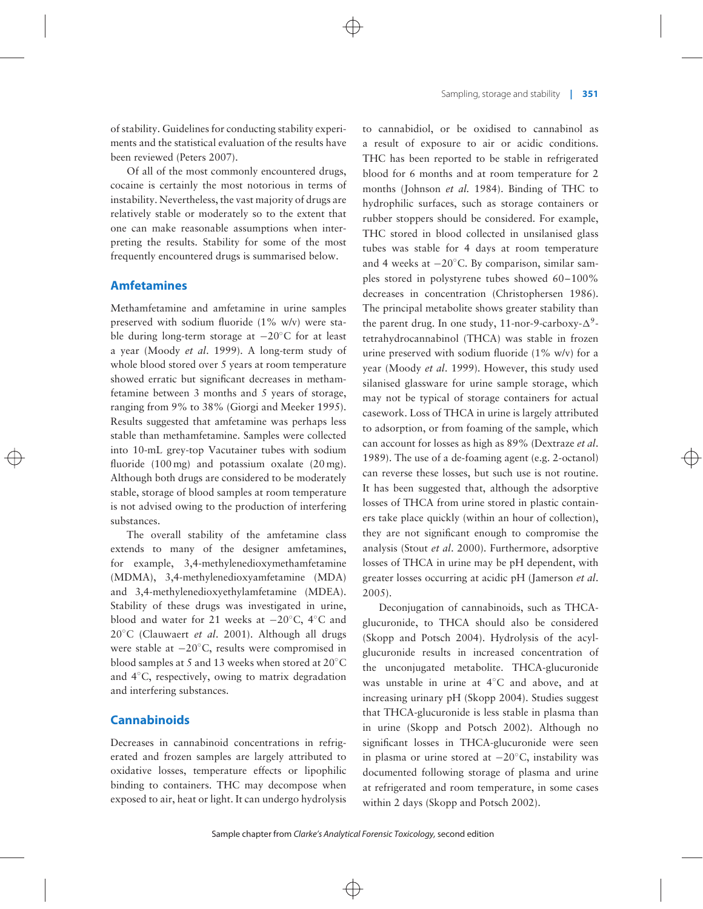of stability. Guidelines for conducting stability experiments and the statistical evaluation of the results have been reviewed (Peters 2007).

Of all of the most commonly encountered drugs, cocaine is certainly the most notorious in terms of instability. Nevertheless, the vast majority of drugs are relatively stable or moderately so to the extent that one can make reasonable assumptions when interpreting the results. Stability for some of the most frequently encountered drugs is summarised below.

# **Amfetamines**

Methamfetamine and amfetamine in urine samples preserved with sodium fluoride (1% w/v) were stable during long-term storage at −20◦ C for at least a year (Moody *et al*. 1999). A long-term study of whole blood stored over 5 years at room temperature showed erratic but significant decreases in methamfetamine between 3 months and 5 years of storage, ranging from 9% to 38% (Giorgi and Meeker 1995). Results suggested that amfetamine was perhaps less stable than methamfetamine. Samples were collected into 10-mL grey-top Vacutainer tubes with sodium fluoride (100 mg) and potassium oxalate (20 mg). Although both drugs are considered to be moderately stable, storage of blood samples at room temperature is not advised owing to the production of interfering substances.

The overall stability of the amfetamine class extends to many of the designer amfetamines, for example, 3,4-methylenedioxymethamfetamine (MDMA), 3,4-methylenedioxyamfetamine (MDA) and 3,4-methylenedioxyethylamfetamine (MDEA). Stability of these drugs was investigated in urine, blood and water for 21 weeks at  $-20^{\circ}$ C, 4 $^{\circ}$ C and 20◦ C (Clauwaert *et al*. 2001). Although all drugs were stable at −20◦ C, results were compromised in blood samples at 5 and 13 weeks when stored at 20◦ C and 4◦ C, respectively, owing to matrix degradation and interfering substances.

# **Cannabinoids**

Decreases in cannabinoid concentrations in refrigerated and frozen samples are largely attributed to oxidative losses, temperature effects or lipophilic binding to containers. THC may decompose when exposed to air, heat or light. It can undergo hydrolysis to cannabidiol, or be oxidised to cannabinol as a result of exposure to air or acidic conditions. THC has been reported to be stable in refrigerated blood for 6 months and at room temperature for 2 months (Johnson *et al.* 1984). Binding of THC to hydrophilic surfaces, such as storage containers or rubber stoppers should be considered. For example, THC stored in blood collected in unsilanised glass tubes was stable for 4 days at room temperature and 4 weeks at −20◦ C. By comparison, similar samples stored in polystyrene tubes showed 60–100% decreases in concentration (Christophersen 1986). The principal metabolite shows greater stability than the parent drug. In one study, 11-nor-9-carboxy- $\Delta^9$ tetrahydrocannabinol (THCA) was stable in frozen urine preserved with sodium fluoride (1% w/v) for a year (Moody *et al*. 1999). However, this study used silanised glassware for urine sample storage, which may not be typical of storage containers for actual casework. Loss of THCA in urine is largely attributed to adsorption, or from foaming of the sample, which can account for losses as high as 89% (Dextraze *et al*. 1989). The use of a de-foaming agent (e.g. 2-octanol) can reverse these losses, but such use is not routine. It has been suggested that, although the adsorptive losses of THCA from urine stored in plastic containers take place quickly (within an hour of collection), they are not significant enough to compromise the analysis (Stout *et al*. 2000). Furthermore, adsorptive losses of THCA in urine may be pH dependent, with greater losses occurring at acidic pH (Jamerson *et al*. 2005).

Deconjugation of cannabinoids, such as THCAglucuronide, to THCA should also be considered (Skopp and Potsch 2004). Hydrolysis of the acylglucuronide results in increased concentration of the unconjugated metabolite. THCA-glucuronide was unstable in urine at 4◦ C and above, and at increasing urinary pH (Skopp 2004). Studies suggest that THCA-glucuronide is less stable in plasma than in urine (Skopp and Potsch 2002). Although no significant losses in THCA-glucuronide were seen in plasma or urine stored at −20◦ C, instability was documented following storage of plasma and urine at refrigerated and room temperature, in some cases within 2 days (Skopp and Potsch 2002).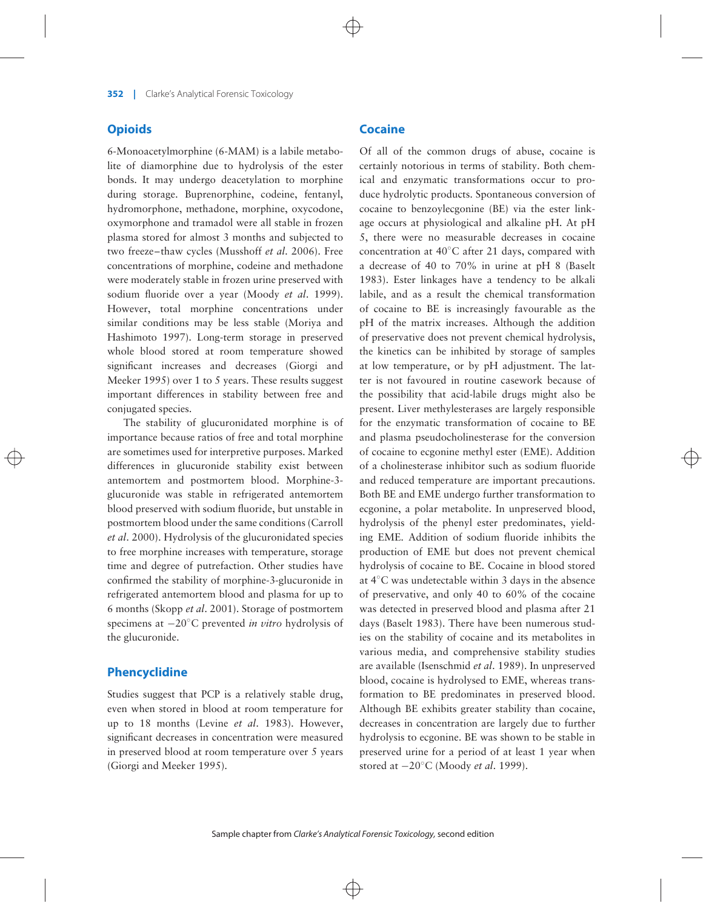# **Opioids**

6-Monoacetylmorphine (6-MAM) is a labile metabolite of diamorphine due to hydrolysis of the ester bonds. It may undergo deacetylation to morphine during storage. Buprenorphine, codeine, fentanyl, hydromorphone, methadone, morphine, oxycodone, oxymorphone and tramadol were all stable in frozen plasma stored for almost 3 months and subjected to two freeze– thaw cycles (Musshoff *et al*. 2006). Free concentrations of morphine, codeine and methadone were moderately stable in frozen urine preserved with sodium fluoride over a year (Moody *et al*. 1999). However, total morphine concentrations under similar conditions may be less stable (Moriya and Hashimoto 1997). Long-term storage in preserved whole blood stored at room temperature showed significant increases and decreases (Giorgi and Meeker 1995) over 1 to 5 years. These results suggest important differences in stability between free and conjugated species.

The stability of glucuronidated morphine is of importance because ratios of free and total morphine are sometimes used for interpretive purposes. Marked differences in glucuronide stability exist between antemortem and postmortem blood. Morphine-3 glucuronide was stable in refrigerated antemortem blood preserved with sodium fluoride, but unstable in postmortem blood under the same conditions (Carroll *et al*. 2000). Hydrolysis of the glucuronidated species to free morphine increases with temperature, storage time and degree of putrefaction. Other studies have confirmed the stability of morphine-3-glucuronide in refrigerated antemortem blood and plasma for up to 6 months (Skopp *et al*. 2001). Storage of postmortem specimens at −20◦ C prevented *in vitro* hydrolysis of the glucuronide.

# **Phencyclidine**

Studies suggest that PCP is a relatively stable drug, even when stored in blood at room temperature for up to 18 months (Levine *et al*. 1983). However, significant decreases in concentration were measured in preserved blood at room temperature over 5 years (Giorgi and Meeker 1995).

# **Cocaine**

Of all of the common drugs of abuse, cocaine is certainly notorious in terms of stability. Both chemical and enzymatic transformations occur to produce hydrolytic products. Spontaneous conversion of cocaine to benzoylecgonine (BE) via the ester linkage occurs at physiological and alkaline pH. At pH 5, there were no measurable decreases in cocaine concentration at 40◦ C after 21 days, compared with a decrease of 40 to 70% in urine at pH 8 (Baselt 1983). Ester linkages have a tendency to be alkali labile, and as a result the chemical transformation of cocaine to BE is increasingly favourable as the pH of the matrix increases. Although the addition of preservative does not prevent chemical hydrolysis, the kinetics can be inhibited by storage of samples at low temperature, or by pH adjustment. The latter is not favoured in routine casework because of the possibility that acid-labile drugs might also be present. Liver methylesterases are largely responsible for the enzymatic transformation of cocaine to BE and plasma pseudocholinesterase for the conversion of cocaine to ecgonine methyl ester (EME). Addition of a cholinesterase inhibitor such as sodium fluoride and reduced temperature are important precautions. Both BE and EME undergo further transformation to ecgonine, a polar metabolite. In unpreserved blood, hydrolysis of the phenyl ester predominates, yielding EME. Addition of sodium fluoride inhibits the production of EME but does not prevent chemical hydrolysis of cocaine to BE. Cocaine in blood stored at 4◦ C was undetectable within 3 days in the absence of preservative, and only 40 to 60% of the cocaine was detected in preserved blood and plasma after 21 days (Baselt 1983). There have been numerous studies on the stability of cocaine and its metabolites in various media, and comprehensive stability studies are available (Isenschmid *et al*. 1989). In unpreserved blood, cocaine is hydrolysed to EME, whereas transformation to BE predominates in preserved blood. Although BE exhibits greater stability than cocaine, decreases in concentration are largely due to further hydrolysis to ecgonine. BE was shown to be stable in preserved urine for a period of at least 1 year when stored at −20◦ C (Moody *et al*. 1999).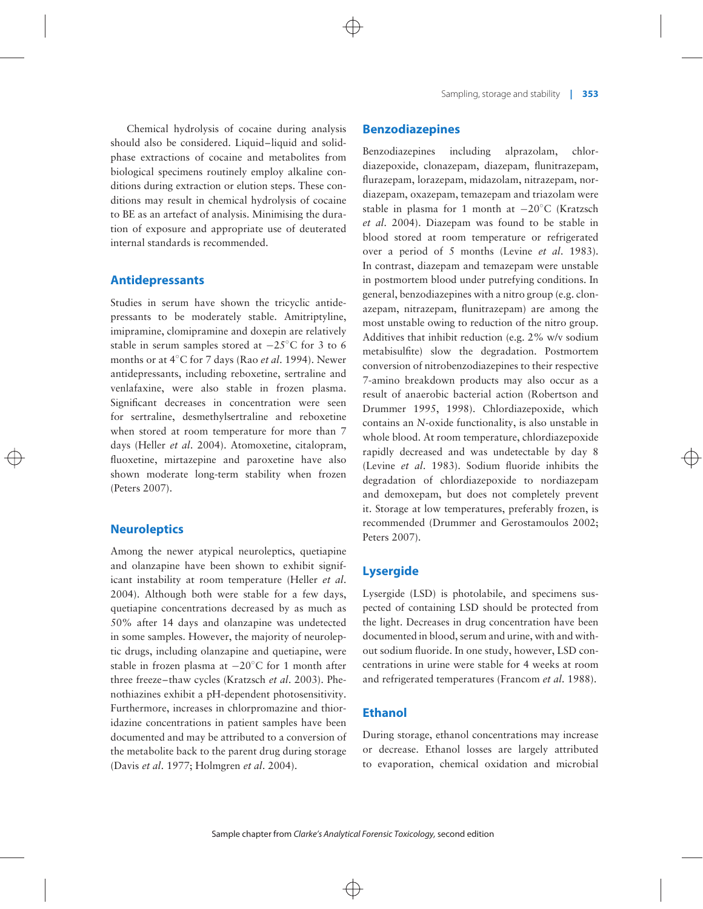Chemical hydrolysis of cocaine during analysis should also be considered. Liquid–liquid and solidphase extractions of cocaine and metabolites from biological specimens routinely employ alkaline conditions during extraction or elution steps. These conditions may result in chemical hydrolysis of cocaine to BE as an artefact of analysis. Minimising the duration of exposure and appropriate use of deuterated internal standards is recommended.

# **Antidepressants**

Studies in serum have shown the tricyclic antidepressants to be moderately stable. Amitriptyline, imipramine, clomipramine and doxepin are relatively stable in serum samples stored at −25◦ C for 3 to 6 months or at 4◦ C for 7 days (Rao *et al*. 1994). Newer antidepressants, including reboxetine, sertraline and venlafaxine, were also stable in frozen plasma. Significant decreases in concentration were seen for sertraline, desmethylsertraline and reboxetine when stored at room temperature for more than 7 days (Heller *et al*. 2004). Atomoxetine, citalopram, fluoxetine, mirtazepine and paroxetine have also shown moderate long-term stability when frozen (Peters 2007).

# **Neuroleptics**

Among the newer atypical neuroleptics, quetiapine and olanzapine have been shown to exhibit significant instability at room temperature (Heller *et al*. 2004). Although both were stable for a few days, quetiapine concentrations decreased by as much as 50% after 14 days and olanzapine was undetected in some samples. However, the majority of neuroleptic drugs, including olanzapine and quetiapine, were stable in frozen plasma at −20◦ C for 1 month after three freeze– thaw cycles (Kratzsch *et al*. 2003). Phenothiazines exhibit a pH-dependent photosensitivity. Furthermore, increases in chlorpromazine and thioridazine concentrations in patient samples have been documented and may be attributed to a conversion of the metabolite back to the parent drug during storage (Davis *et al*. 1977; Holmgren *et al*. 2004).

#### **Benzodiazepines**

Benzodiazepines including alprazolam, chlordiazepoxide, clonazepam, diazepam, flunitrazepam, flurazepam, lorazepam, midazolam, nitrazepam, nordiazepam, oxazepam, temazepam and triazolam were stable in plasma for 1 month at −20◦ C (Kratzsch *et al*. 2004). Diazepam was found to be stable in blood stored at room temperature or refrigerated over a period of 5 months (Levine *et al*. 1983). In contrast, diazepam and temazepam were unstable in postmortem blood under putrefying conditions. In general, benzodiazepines with a nitro group (e.g. clonazepam, nitrazepam, flunitrazepam) are among the most unstable owing to reduction of the nitro group. Additives that inhibit reduction (e.g. 2% w/v sodium metabisulfite) slow the degradation. Postmortem conversion of nitrobenzodiazepines to their respective 7-amino breakdown products may also occur as a result of anaerobic bacterial action (Robertson and Drummer 1995, 1998). Chlordiazepoxide, which contains an *N*-oxide functionality, is also unstable in whole blood. At room temperature, chlordiazepoxide rapidly decreased and was undetectable by day 8 (Levine *et al*. 1983). Sodium fluoride inhibits the degradation of chlordiazepoxide to nordiazepam and demoxepam, but does not completely prevent it. Storage at low temperatures, preferably frozen, is recommended (Drummer and Gerostamoulos 2002; Peters 2007).

# **Lysergide**

Lysergide (LSD) is photolabile, and specimens suspected of containing LSD should be protected from the light. Decreases in drug concentration have been documented in blood, serum and urine, with and without sodium fluoride. In one study, however, LSD concentrations in urine were stable for 4 weeks at room and refrigerated temperatures (Francom *et al*. 1988).

# **Ethanol**

During storage, ethanol concentrations may increase or decrease. Ethanol losses are largely attributed to evaporation, chemical oxidation and microbial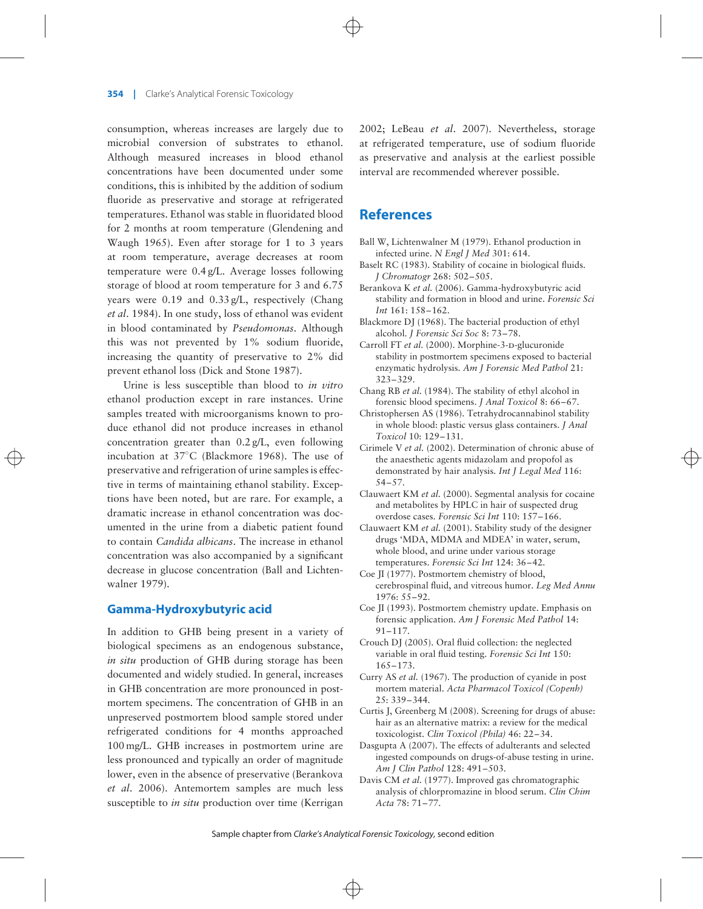#### **354 |** Clarke's Analytical Forensic Toxicology

consumption, whereas increases are largely due to microbial conversion of substrates to ethanol. Although measured increases in blood ethanol concentrations have been documented under some conditions, this is inhibited by the addition of sodium fluoride as preservative and storage at refrigerated temperatures. Ethanol was stable in fluoridated blood for 2 months at room temperature (Glendening and Waugh 1965). Even after storage for 1 to 3 years at room temperature, average decreases at room temperature were 0.4 g/L. Average losses following storage of blood at room temperature for 3 and 6.75 years were 0.19 and 0.33 g/L, respectively (Chang *et al*. 1984). In one study, loss of ethanol was evident in blood contaminated by *Pseudomonas*. Although this was not prevented by 1% sodium fluoride, increasing the quantity of preservative to 2% did prevent ethanol loss (Dick and Stone 1987).

Urine is less susceptible than blood to *in vitro* ethanol production except in rare instances. Urine samples treated with microorganisms known to produce ethanol did not produce increases in ethanol concentration greater than 0.2 g/L, even following incubation at 37◦ C (Blackmore 1968). The use of preservative and refrigeration of urine samples is effective in terms of maintaining ethanol stability. Exceptions have been noted, but are rare. For example, a dramatic increase in ethanol concentration was documented in the urine from a diabetic patient found to contain *Candida albicans*. The increase in ethanol concentration was also accompanied by a significant decrease in glucose concentration (Ball and Lichtenwalner 1979).

# **Gamma-Hydroxybutyric acid**

In addition to GHB being present in a variety of biological specimens as an endogenous substance, *in situ* production of GHB during storage has been documented and widely studied. In general, increases in GHB concentration are more pronounced in postmortem specimens. The concentration of GHB in an unpreserved postmortem blood sample stored under refrigerated conditions for 4 months approached 100 mg/L. GHB increases in postmortem urine are less pronounced and typically an order of magnitude lower, even in the absence of preservative (Berankova *et al*. 2006). Antemortem samples are much less susceptible to *in situ* production over time (Kerrigan

2002; LeBeau *et al*. 2007). Nevertheless, storage at refrigerated temperature, use of sodium fluoride as preservative and analysis at the earliest possible interval are recommended wherever possible.

# **References**

- Ball W, Lichtenwalner M (1979). Ethanol production in infected urine. *N Engl J Med* 301: 614.
- Baselt RC (1983). Stability of cocaine in biological fluids. *J Chromatogr* 268: 502–505.
- Berankova K *et al.* (2006). Gamma-hydroxybutyric acid stability and formation in blood and urine. *Forensic Sci Int* 161: 158–162.
- Blackmore DJ (1968). The bacterial production of ethyl alcohol. *J Forensic Sci Soc* 8: 73–78.
- Carroll FT et al. (2000). Morphine-3-D-glucuronide stability in postmortem specimens exposed to bacterial enzymatic hydrolysis. *Am J Forensic Med Pathol* 21: 323–329.
- Chang RB *et al.* (1984). The stability of ethyl alcohol in forensic blood specimens. *J Anal Toxicol* 8: 66–67.
- Christophersen AS (1986). Tetrahydrocannabinol stability in whole blood: plastic versus glass containers. *J Anal Toxicol* 10: 129–131.
- Cirimele V *et al.* (2002). Determination of chronic abuse of the anaesthetic agents midazolam and propofol as demonstrated by hair analysis. *Int J Legal Med* 116: 54–57.
- Clauwaert KM *et al.* (2000). Segmental analysis for cocaine and metabolites by HPLC in hair of suspected drug overdose cases. *Forensic Sci Int* 110: 157–166.
- Clauwaert KM *et al.* (2001). Stability study of the designer drugs 'MDA, MDMA and MDEA' in water, serum, whole blood, and urine under various storage temperatures. *Forensic Sci Int* 124: 36–42.
- Coe JI (1977). Postmortem chemistry of blood, cerebrospinal fluid, and vitreous humor. *Leg Med Annu* 1976: 55–92.
- Coe JI (1993). Postmortem chemistry update. Emphasis on forensic application. *Am J Forensic Med Pathol* 14: 91–117.
- Crouch DJ (2005). Oral fluid collection: the neglected variable in oral fluid testing. *Forensic Sci Int* 150: 165–173.
- Curry AS *et al.* (1967). The production of cyanide in post mortem material. *Acta Pharmacol Toxicol (Copenh)* 25: 339–344.
- Curtis J, Greenberg M (2008). Screening for drugs of abuse: hair as an alternative matrix: a review for the medical toxicologist. *Clin Toxicol (Phila)* 46: 22–34.
- Dasgupta A (2007). The effects of adulterants and selected ingested compounds on drugs-of-abuse testing in urine. *Am J Clin Pathol* 128: 491–503.
- Davis CM *et al.* (1977). Improved gas chromatographic analysis of chlorpromazine in blood serum. *Clin Chim Acta* 78: 71–77.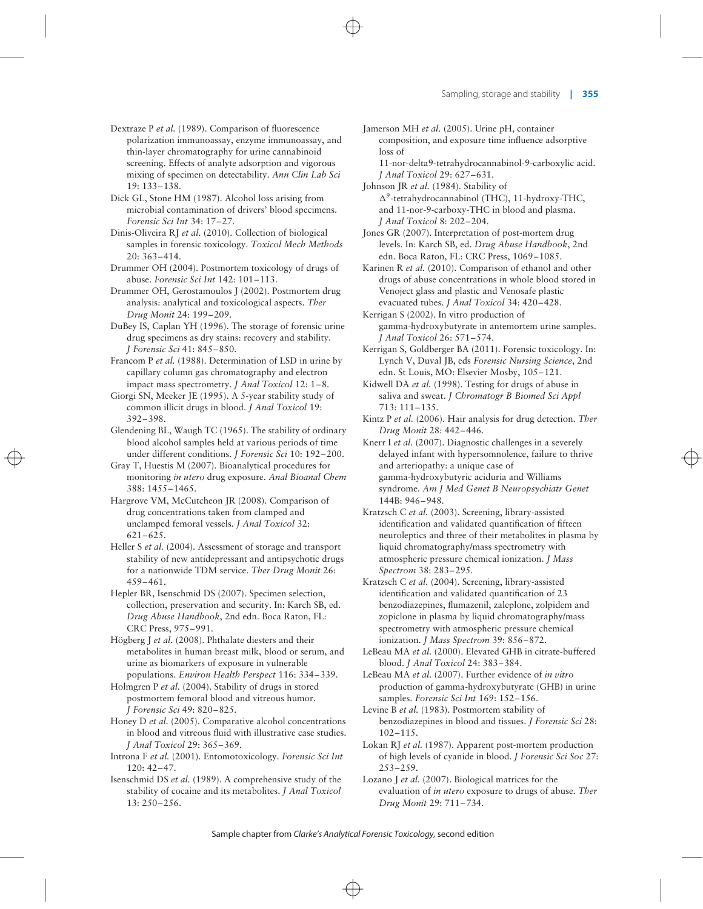- Dextraze P *et al.* (1989). Comparison of fluorescence polarization immunoassay, enzyme immunoassay, and thin-layer chromatography for urine cannabinoid screening. Effects of analyte adsorption and vigorous mixing of specimen on detectability. *Ann Clin Lab Sci* 19: 133–138.
- Dick GL, Stone HM (1987). Alcohol loss arising from microbial contamination of drivers' blood specimens. *Forensic Sci Int* 34: 17–27.
- Dinis-Oliveira RJ *et al.* (2010). Collection of biological samples in forensic toxicology. *Toxicol Mech Methods* 20: 363–414.

Drummer OH (2004). Postmortem toxicology of drugs of abuse. *Forensic Sci Int* 142: 101–113.

Drummer OH, Gerostamoulos J (2002). Postmortem drug analysis: analytical and toxicological aspects. *Ther Drug Monit* 24: 199–209.

- DuBey IS, Caplan YH (1996). The storage of forensic urine drug specimens as dry stains: recovery and stability. *J Forensic Sci* 41: 845–850.
- Francom P *et al.* (1988). Determination of LSD in urine by capillary column gas chromatography and electron impact mass spectrometry. *J Anal Toxicol* 12: 1–8.
- Giorgi SN, Meeker JE (1995). A 5-year stability study of common illicit drugs in blood. *J Anal Toxicol* 19: 392–398.
- Glendening BL, Waugh TC (1965). The stability of ordinary blood alcohol samples held at various periods of time under different conditions. *J Forensic Sci* 10: 192–200.
- Gray T, Huestis M (2007). Bioanalytical procedures for monitoring *in utero* drug exposure. *Anal Bioanal Chem* 388: 1455–1465.
- Hargrove VM, McCutcheon JR (2008). Comparison of drug concentrations taken from clamped and unclamped femoral vessels. *J Anal Toxicol* 32: 621–625.
- Heller S *et al.* (2004). Assessment of storage and transport stability of new antidepressant and antipsychotic drugs for a nationwide TDM service. *Ther Drug Monit* 26: 459–461.
- Hepler BR, Isenschmid DS (2007). Specimen selection, collection, preservation and security. In: Karch SB, ed. *Drug Abuse Handbook*, 2nd edn. Boca Raton, FL: CRC Press, 975–991.

Högberg J et al. (2008). Phthalate diesters and their metabolites in human breast milk, blood or serum, and urine as biomarkers of exposure in vulnerable populations. *Environ Health Perspect* 116: 334–339.

- Holmgren P *et al.* (2004). Stability of drugs in stored postmortem femoral blood and vitreous humor. *J Forensic Sci* 49: 820–825.
- Honey D *et al.* (2005). Comparative alcohol concentrations in blood and vitreous fluid with illustrative case studies. *J Anal Toxicol* 29: 365–369.
- Introna F *et al.* (2001). Entomotoxicology. *Forensic Sci Int* 120: 42–47.
- Isenschmid DS *et al.* (1989). A comprehensive study of the stability of cocaine and its metabolites. *J Anal Toxicol* 13: 250–256.

Jamerson MH *et al.* (2005). Urine pH, container composition, and exposure time influence adsorptive loss of

11-nor-delta9-tetrahydrocannabinol-9-carboxylic acid. *J Anal Toxicol* 29: 627–631.

- Johnson JR *et al.* (1984). Stability of *-*9-tetrahydrocannabinol (THC), 11-hydroxy-THC, and 11-nor-9-carboxy-THC in blood and plasma. *J Anal Toxicol* 8: 202–204.
- Jones GR (2007). Interpretation of post-mortem drug levels. In: Karch SB, ed. *Drug Abuse Handbook*, 2nd edn. Boca Raton, FL: CRC Press, 1069–1085.
- Karinen R *et al.* (2010). Comparison of ethanol and other drugs of abuse concentrations in whole blood stored in Venoject glass and plastic and Venosafe plastic evacuated tubes. *J Anal Toxicol* 34: 420–428.
- Kerrigan S (2002). In vitro production of gamma-hydroxybutyrate in antemortem urine samples. *J Anal Toxicol* 26: 571–574.
- Kerrigan S, Goldberger BA (2011). Forensic toxicology. In: Lynch V, Duval JB, eds *Forensic Nursing Science*, 2nd edn. St Louis, MO: Elsevier Mosby, 105–121.
- Kidwell DA *et al.* (1998). Testing for drugs of abuse in saliva and sweat. *J Chromatogr B Biomed Sci Appl* 713: 111–135.
- Kintz P *et al.* (2006). Hair analysis for drug detection. *Ther Drug Monit* 28: 442–446.
- Knerr I *et al.* (2007). Diagnostic challenges in a severely delayed infant with hypersomnolence, failure to thrive and arteriopathy: a unique case of gamma-hydroxybutyric aciduria and Williams syndrome. *Am J Med Genet B Neuropsychiatr Genet* 144B: 946–948.
- Kratzsch C *et al.* (2003). Screening, library-assisted identification and validated quantification of fifteen neuroleptics and three of their metabolites in plasma by liquid chromatography/mass spectrometry with atmospheric pressure chemical ionization. *J Mass Spectrom* 38: 283–295.
- Kratzsch C *et al.* (2004). Screening, library-assisted identification and validated quantification of 23 benzodiazepines, flumazenil, zaleplone, zolpidem and zopiclone in plasma by liquid chromatography/mass spectrometry with atmospheric pressure chemical ionization. *J Mass Spectrom* 39: 856–872.
- LeBeau MA *et al.* (2000). Elevated GHB in citrate-buffered blood. *J Anal Toxicol* 24: 383–384.
- LeBeau MA *et al.* (2007). Further evidence of *in vitro* production of gamma-hydroxybutyrate (GHB) in urine samples. *Forensic Sci Int* 169: 152–156.
- Levine B *et al.* (1983). Postmortem stability of benzodiazepines in blood and tissues. *J Forensic Sci* 28: 102–115.
- Lokan RJ *et al.* (1987). Apparent post-mortem production of high levels of cyanide in blood. *J Forensic Sci Soc* 27: 253–259.
- Lozano J *et al.* (2007). Biological matrices for the evaluation of *in utero* exposure to drugs of abuse. *Ther Drug Monit* 29: 711–734.